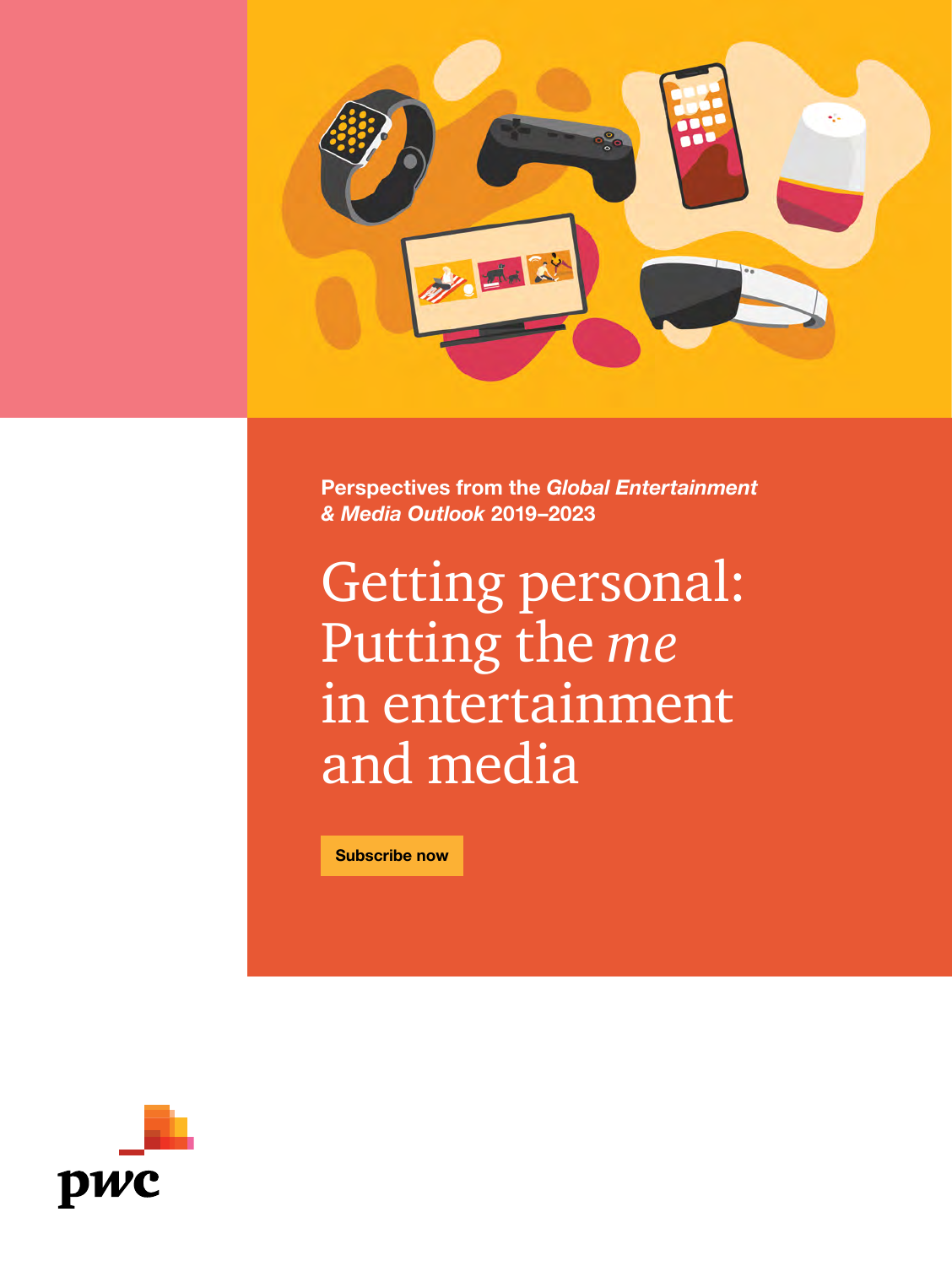

**Perspectives from the** *Global Entertainment & Media Outlook* **2019–2023**

Getting personal: Putting the *me* in entertainment and media

**[Subscribe now](https://simplecirc.com/subscribe/global-entertainment-media-outlook)**

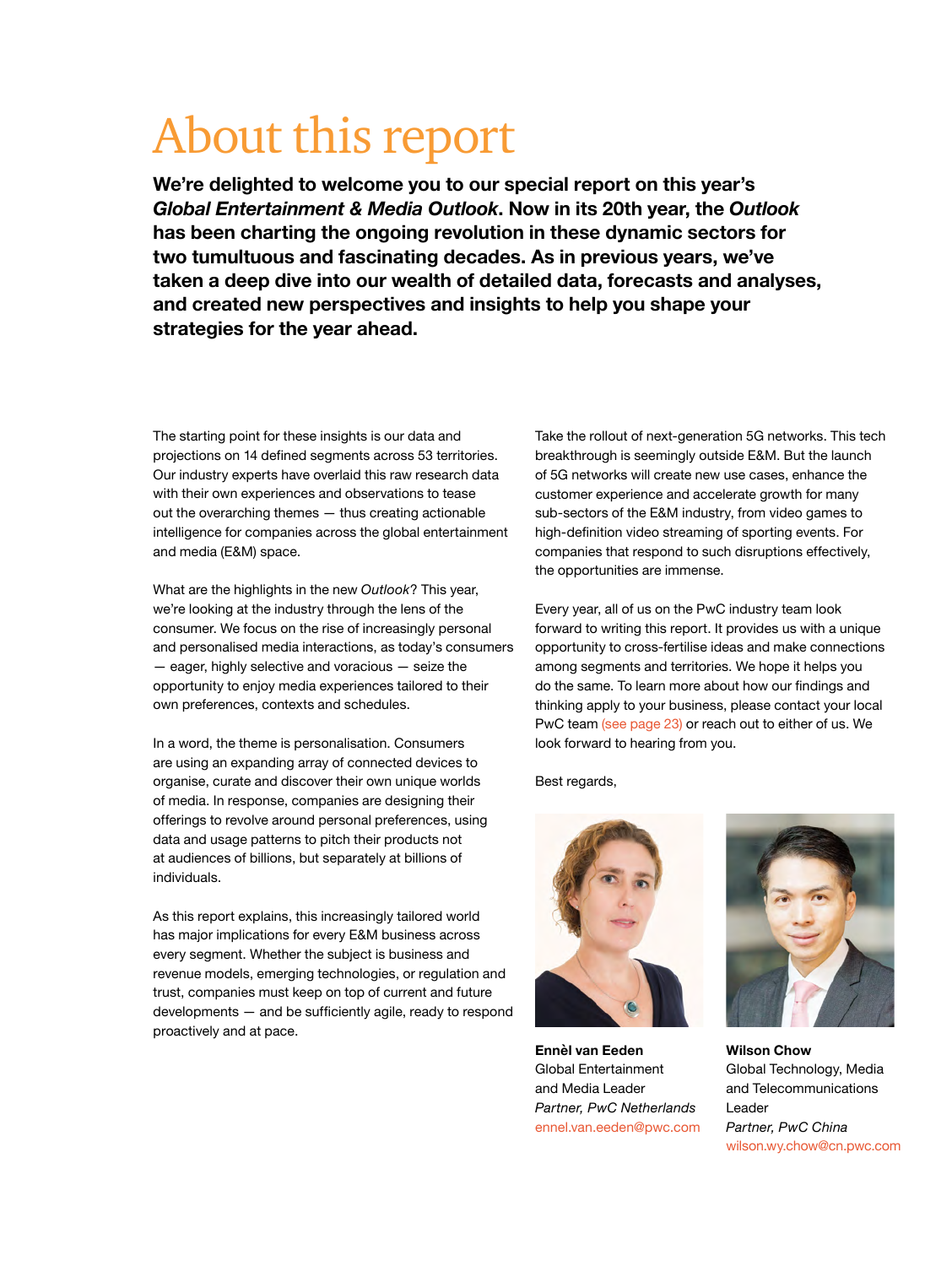## About this report

**We're delighted to welcome you to our special report on this year's**  *Global Entertainment & Media Outlook***. Now in its 20th year, the** *Outlook* **has been charting the ongoing revolution in these dynamic sectors for two tumultuous and fascinating decades. As in previous years, we've taken a deep dive into our wealth of detailed data, forecasts and analyses, and created new perspectives and insights to help you shape your strategies for the year ahead.**

The starting point for these insights is our data and projections on 14 defined segments across 53 territories. Our industry experts have overlaid this raw research data with their own experiences and observations to tease out the overarching themes — thus creating actionable intelligence for companies across the global entertainment and media (E&M) space.

What are the highlights in the new *Outlook*? This year, we're looking at the industry through the lens of the consumer. We focus on the rise of increasingly personal and personalised media interactions, as today's consumers — eager, highly selective and voracious — seize the opportunity to enjoy media experiences tailored to their own preferences, contexts and schedules.

In a word, the theme is personalisation. Consumers are using an expanding array of connected devices to organise, curate and discover their own unique worlds of media. In response, companies are designing their offerings to revolve around personal preferences, using data and usage patterns to pitch their products not at audiences of billions, but separately at billions of individuals.

As this report explains, this increasingly tailored world has major implications for every E&M business across every segment. Whether the subject is business and revenue models, emerging technologies, or regulation and trust, companies must keep on top of current and future developments — and be sufficiently agile, ready to respond proactively and at pace.

Take the rollout of next-generation 5G networks. This tech breakthrough is seemingly outside E&M. But the launch of 5G networks will create new use cases, enhance the customer experience and accelerate growth for many sub-sectors of the E&M industry, from video games to high-definition video streaming of sporting events. For companies that respond to such disruptions effectively, the opportunities are immense.

Every year, all of us on the PwC industry team look forward to writing this report. It provides us with a unique opportunity to cross-fertilise ideas and make connections among segments and territories. We hope it helps you do the same. To learn more about how our findings and thinking apply to your business, please contact your local PwC team [\(see page 23\)](#page--1-0) or reach out to either of us. We look forward to hearing from you.

Best regards,



**Ennèl van Eeden**  Global Entertainment and Media Leader *Partner, PwC Netherlands*  [ennel.van.eeden@pwc.com](mailto:ennel.van.eeden%40pwc.com?subject=)



**Wilson Chow** Global Technology, Media and Telecommunications Leader *Partner, PwC China*  [wilson.wy.chow@cn.pwc.com](mailto:wilson.wy.chow%40cn.pwc.com?subject=)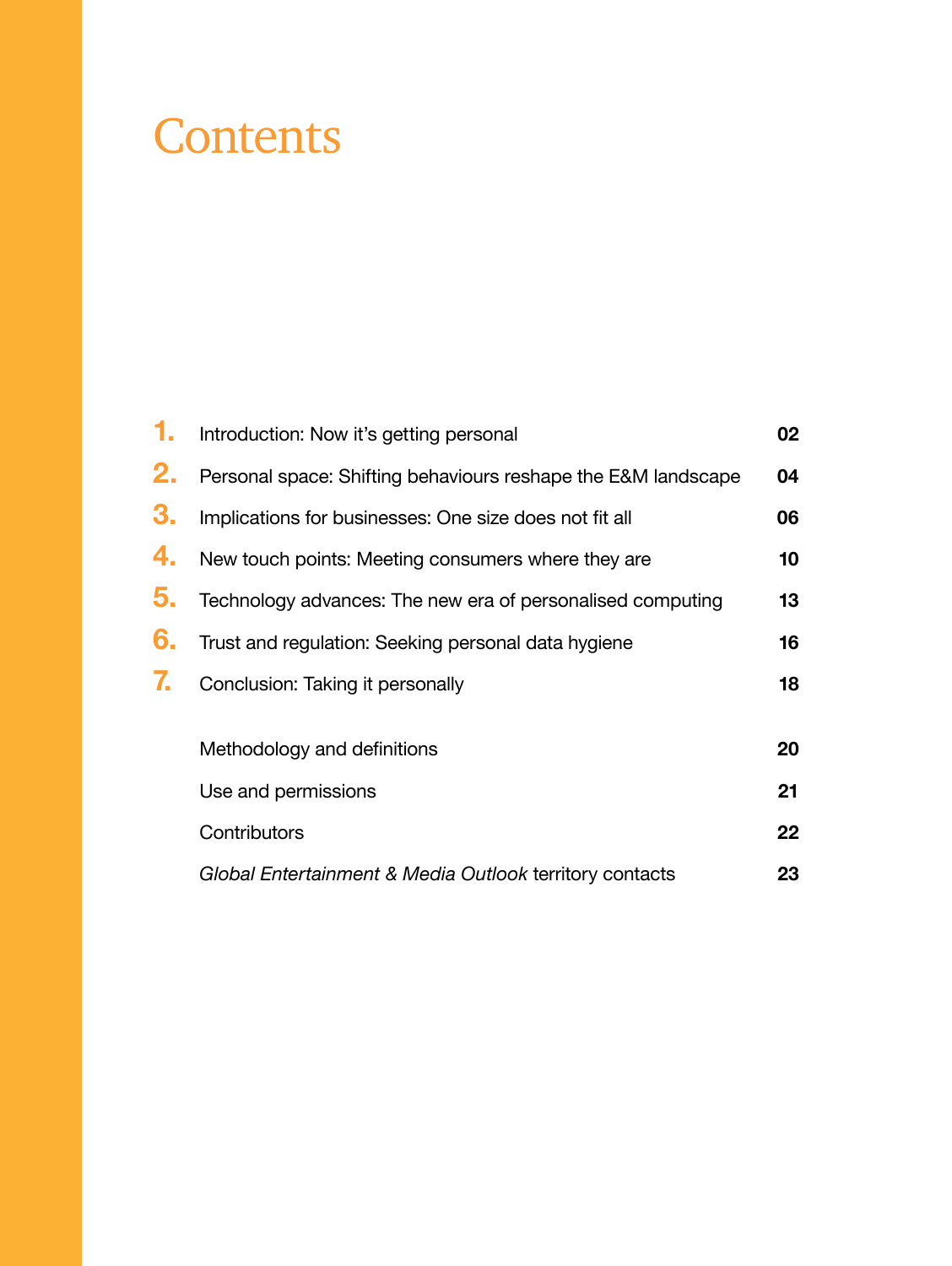## **Contents**

| 1. | Introduction: Now it's getting personal                       | 02      |
|----|---------------------------------------------------------------|---------|
| 2. | Personal space: Shifting behaviours reshape the E&M landscape | 04      |
| 3. | Implications for businesses: One size does not fit all        | 06      |
| 4. | New touch points: Meeting consumers where they are            | 10      |
| 5. | Technology advances: The new era of personalised computing    | 13      |
| 6. | Trust and regulation: Seeking personal data hygiene           | 16      |
| 7. | Conclusion: Taking it personally                              | 18      |
|    |                                                               |         |
|    | Methodology and definitions                                   | 20      |
|    | Use and permissions                                           | 21      |
|    | Contributors                                                  | $22 \,$ |
|    | Global Entertainment & Media Outlook territory contacts       | 23      |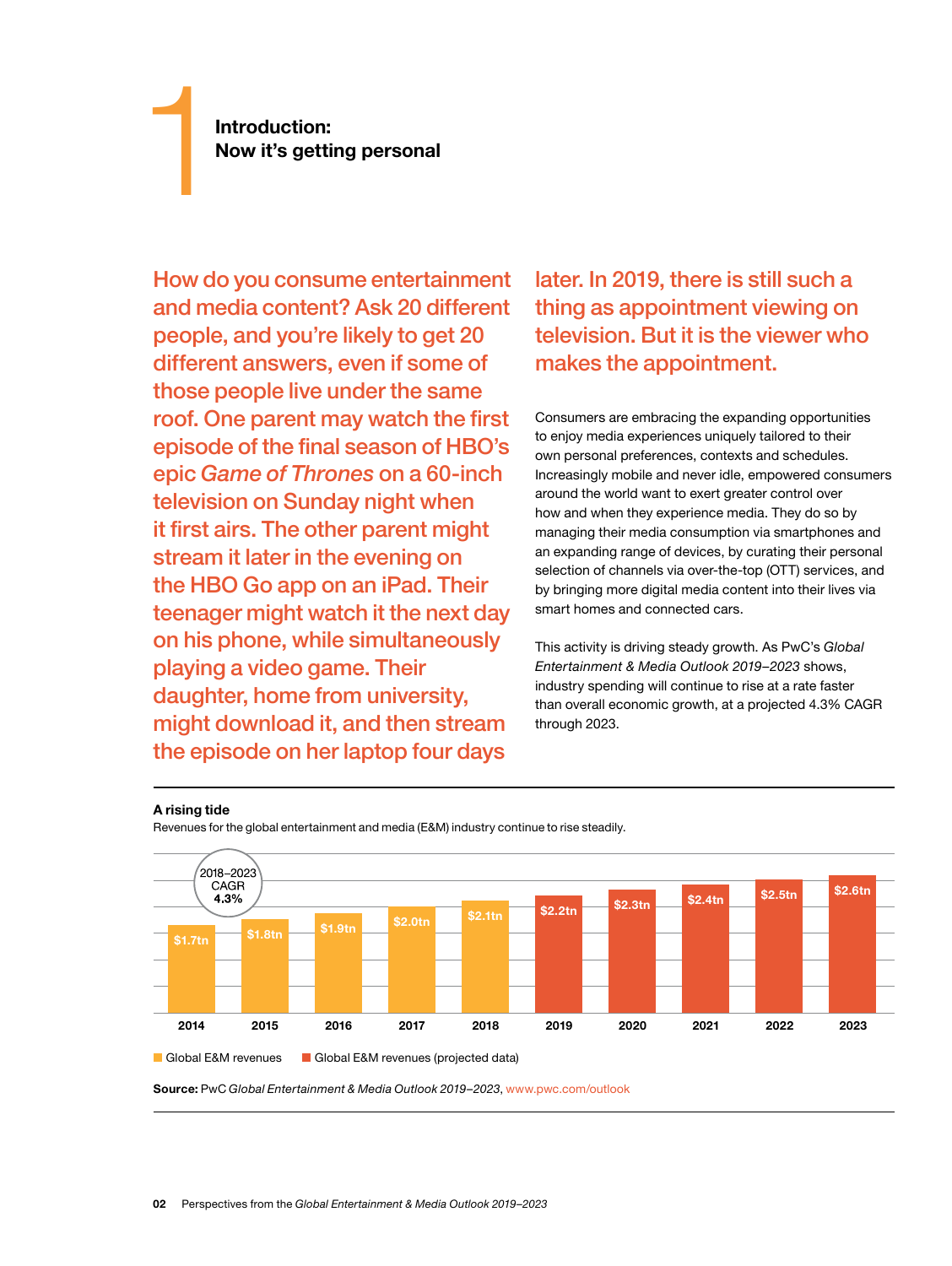**Introduction:**<br> **Now it's getting personal** 

How do you consume entertainment and media content? Ask 20 different people, and you're likely to get 20 different answers, even if some of those people live under the same roof. One parent may watch the first episode of the final season of HBO's epic *Game of Thrones* on a 60-inch television on Sunday night when it first airs. The other parent might stream it later in the evening on the HBO Go app on an iPad. Their teenager might watch it the next day on his phone, while simultaneously playing a video game. Their daughter, home from university, might download it, and then stream the episode on her laptop four days

later. In 2019, there is still such a thing as appointment viewing on television. But it is the viewer who makes the appointment.

Consumers are embracing the expanding opportunities to enjoy media experiences uniquely tailored to their own personal preferences, contexts and schedules. Increasingly mobile and never idle, empowered consumers around the world want to exert greater control over how and when they experience media. They do so by managing their media consumption via smartphones and an expanding range of devices, by curating their personal selection of channels via over-the-top (OTT) services, and by bringing more digital media content into their lives via smart homes and connected cars.

This activity is driving steady growth. As PwC's *Global Entertainment & Media Outlook 2019–2023* shows, industry spending will continue to rise at a rate faster than overall economic growth, at a projected 4.3% CAGR through 2023.

#### **A rising tide**





**Source:** PwC *Global Entertainment & Media Outlook 2019–2023*, www.pwc.com/outlook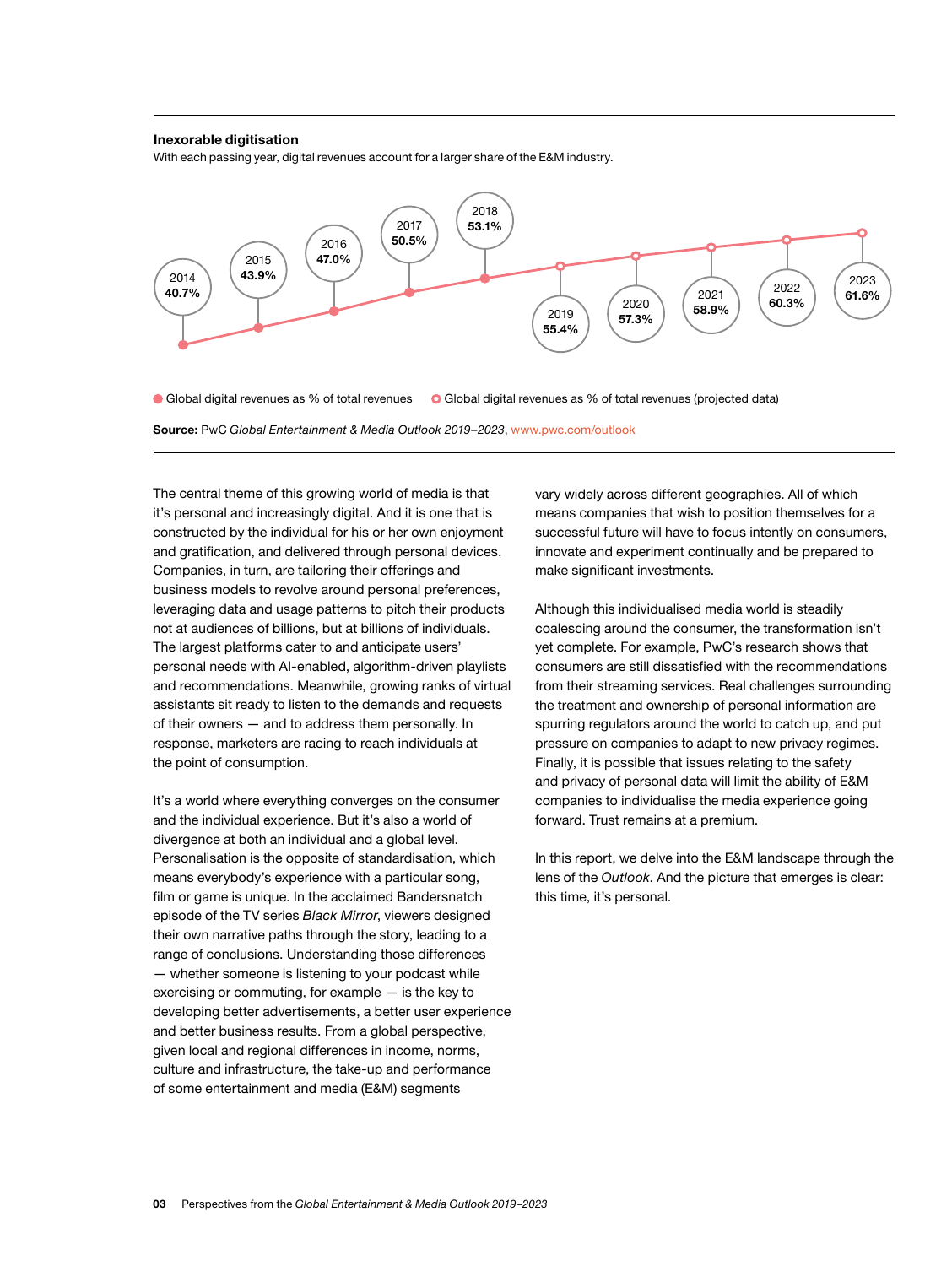#### **Inexorable digitisation**

With each passing year, digital revenues account for a larger share of the E&M industry.



Global digital revenues as % of total revenues Global digital revenues as % of total revenues (projected data)

**Source:** PwC *Global Entertainment & Media Outlook 2019–2023*, www.pwc.com/outlook **Source:** PwC *Global Entertainment & Media Outlook 2019–2023*, [www.pwc.com/outlook](https://www.pwc.com/outlook)

The central theme of this growing world of media is that it's personal and increasingly digital. And it is one that is constructed by the individual for his or her own enjoyment and gratification, and delivered through personal devices. Companies, in turn, are tailoring their offerings and business models to revolve around personal preferences, leveraging data and usage patterns to pitch their products not at audiences of billions, but at billions of individuals. The largest platforms cater to and anticipate users' personal needs with AI-enabled, algorithm-driven playlists and recommendations. Meanwhile, growing ranks of virtual assistants sit ready to listen to the demands and requests of their owners — and to address them personally. In response, marketers are racing to reach individuals at the point of consumption.

It's a world where everything converges on the consumer and the individual experience. But it's also a world of divergence at both an individual and a global level. Personalisation is the opposite of standardisation, which means everybody's experience with a particular song, film or game is unique. In the acclaimed Bandersnatch episode of the TV series *Black Mirror*, viewers designed their own narrative paths through the story, leading to a range of conclusions. Understanding those differences — whether someone is listening to your podcast while exercising or commuting, for example — is the key to developing better advertisements, a better user experience and better business results. From a global perspective, given local and regional differences in income, norms, culture and infrastructure, the take-up and performance of some entertainment and media (E&M) segments

vary widely across different geographies. All of which means companies that wish to position themselves for a successful future will have to focus intently on consumers, innovate and experiment continually and be prepared to make significant investments.

Although this individualised media world is steadily coalescing around the consumer, the transformation isn't yet complete. For example, PwC's research shows that consumers are still dissatisfied with the recommendations from their streaming services. Real challenges surrounding the treatment and ownership of personal information are spurring regulators around the world to catch up, and put pressure on companies to adapt to new privacy regimes. Finally, it is possible that issues relating to the safety and privacy of personal data will limit the ability of E&M companies to individualise the media experience going forward. Trust remains at a premium.

In this report, we delve into the E&M landscape through the lens of the *Outlook*. And the picture that emerges is clear: this time, it's personal.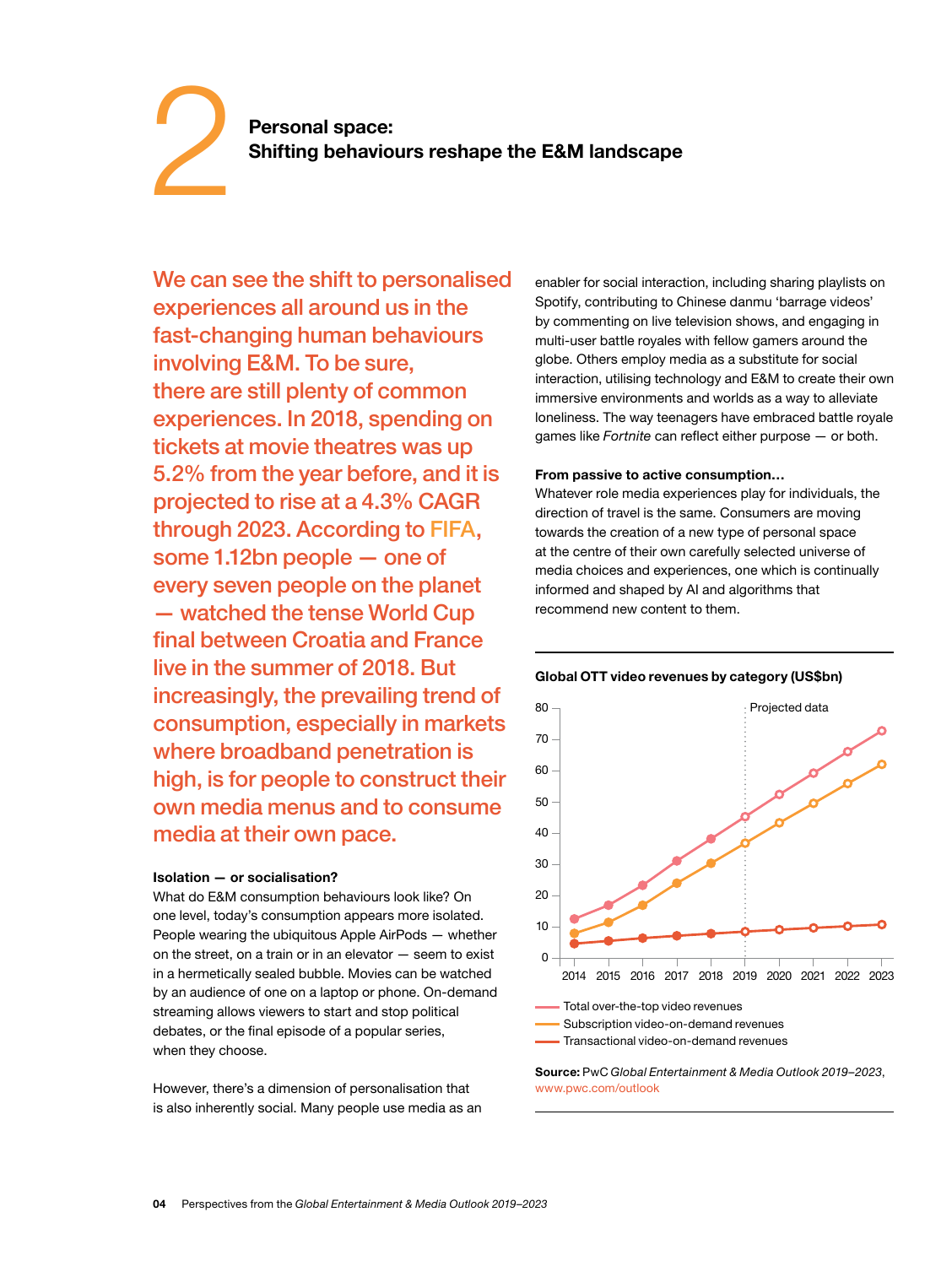### **Personal space: Shifting behaviours reshape the E&M landscape**

We can see the shift to personalised experiences all around us in the fast-changing human behaviours involving E&M. To be sure, there are still plenty of common experiences. In 2018, spending on tickets at movie theatres was up 5.2% from the year before, and it is projected to rise at a 4.3% CAGR through 2023. According to [FIFA,](https://www.fifa.com/worldcup/news/more-than-half-the-world-watched-record-breaking-2018-world-cup) some 1.12bn people — one of every seven people on the planet — watched the tense World Cup final between Croatia and France live in the summer of 2018. But increasingly, the prevailing trend of consumption, especially in markets where broadband penetration is high, is for people to construct their own media menus and to consume media at their own pace.

#### **Isolation — or socialisation?**

2

What do E&M consumption behaviours look like? On one level, today's consumption appears more isolated. People wearing the ubiquitous Apple AirPods — whether on the street, on a train or in an elevator — seem to exist in a hermetically sealed bubble. Movies can be watched by an audience of one on a laptop or phone. On-demand streaming allows viewers to start and stop political debates, or the final episode of a popular series, when they choose.

However, there's a dimension of personalisation that is also inherently social. Many people use media as an enabler for social interaction, including sharing playlists on Spotify, contributing to Chinese danmu 'barrage videos' by commenting on live television shows, and engaging in multi-user battle royales with fellow gamers around the globe. Others employ media as a substitute for social interaction, utilising technology and E&M to create their own immersive environments and worlds as a way to alleviate loneliness. The way teenagers have embraced battle royale games like *Fortnite* can reflect either purpose — or both.

#### **From passive to active consumption…**

Whatever role media experiences play for individuals, the direction of travel is the same. Consumers are moving towards the creation of a new type of personal space at the centre of their own carefully selected universe of media choices and experiences, one which is continually informed and shaped by AI and algorithms that recommend new content to them.

#### **Global OTT video revenues by category (US\$bn)**



**Source:** PwC *Global Entertainment & Media Outlook 2019–2023*, www.pwc.com/outlook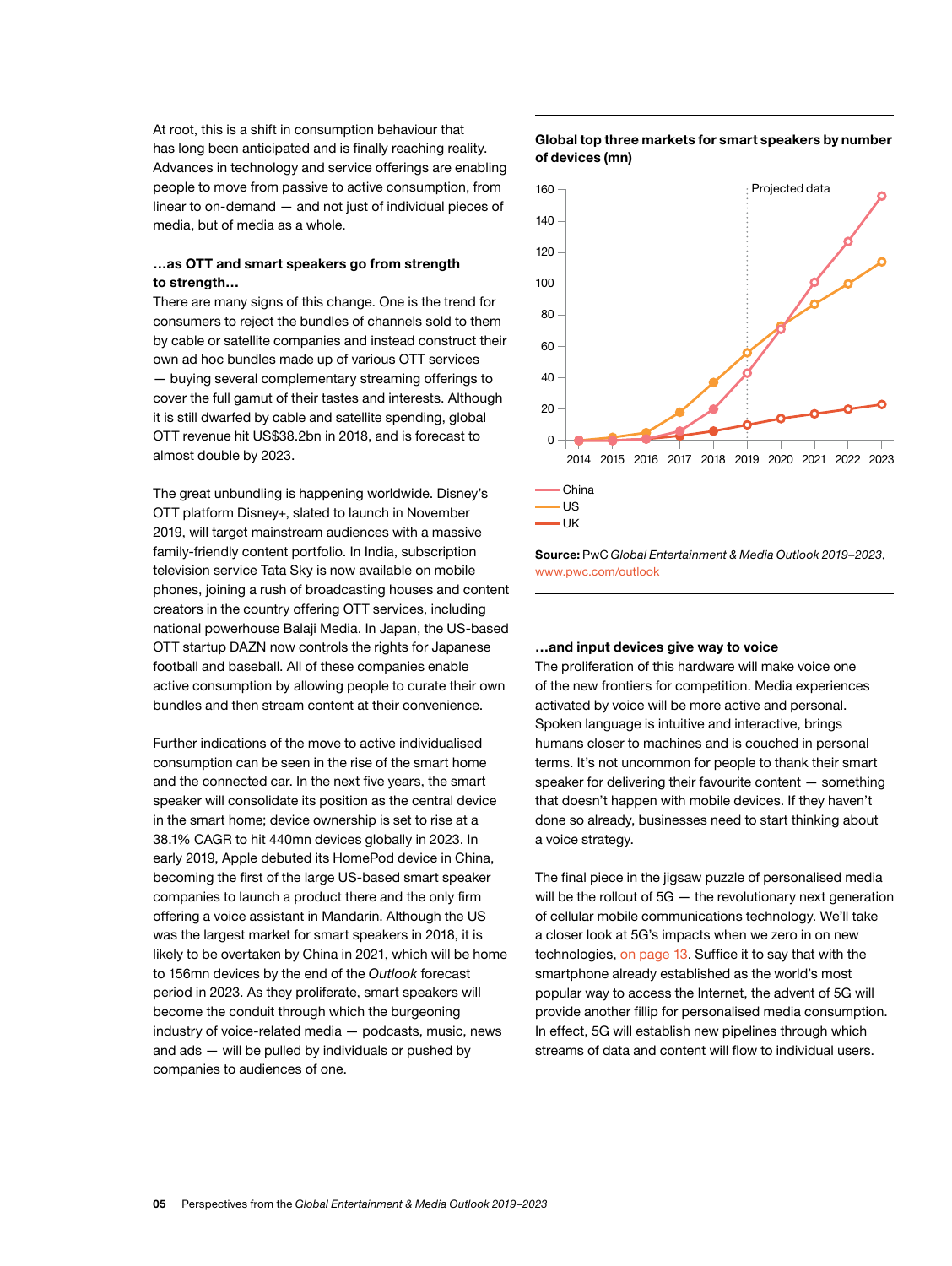At root, this is a shift in consumption behaviour that has long been anticipated and is finally reaching reality. Advances in technology and service offerings are enabling people to move from passive to active consumption, from linear to on-demand — and not just of individual pieces of media, but of media as a whole.

#### **…as OTT and smart speakers go from strength to strength…**

There are many signs of this change. One is the trend for consumers to reject the bundles of channels sold to them by cable or satellite companies and instead construct their own ad hoc bundles made up of various OTT services — buying several complementary streaming offerings to cover the full gamut of their tastes and interests. Although it is still dwarfed by cable and satellite spending, global OTT revenue hit US\$38.2bn in 2018, and is forecast to almost double by 2023.

The great unbundling is happening worldwide. Disney's OTT platform Disney+, slated to launch in November 2019, will target mainstream audiences with a massive family-friendly content portfolio. In India, subscription television service Tata Sky is now available on mobile phones, joining a rush of broadcasting houses and content creators in the country offering OTT services, including national powerhouse Balaji Media. In Japan, the US-based OTT startup DAZN now controls the rights for Japanese football and baseball. All of these companies enable active consumption by allowing people to curate their own bundles and then stream content at their convenience.

Further indications of the move to active individualised consumption can be seen in the rise of the smart home and the connected car. In the next five years, the smart speaker will consolidate its position as the central device in the smart home; device ownership is set to rise at a 38.1% CAGR to hit 440mn devices globally in 2023. In early 2019, Apple debuted its HomePod device in China, becoming the first of the large US-based smart speaker companies to launch a product there and the only firm offering a voice assistant in Mandarin. Although the US was the largest market for smart speakers in 2018, it is likely to be overtaken by China in 2021, which will be home to 156mn devices by the end of the *Outlook* forecast period in 2023. As they proliferate, smart speakers will become the conduit through which the burgeoning industry of voice-related media — podcasts, music, news and ads — will be pulled by individuals or pushed by companies to audiences of one.

#### **Global top three markets for smart speakers by number of devices (mn)**



**Source:** PwC *Global Entertainment & Media Outlook 2019–2023*, www.pwc.com/outlook

#### **…and input devices give way to voice**

The proliferation of this hardware will make voice one of the new frontiers for competition. Media experiences activated by voice will be more active and personal. Spoken language is intuitive and interactive, brings humans closer to machines and is couched in personal terms. It's not uncommon for people to thank their smart speaker for delivering their favourite content — something that doesn't happen with mobile devices. If they haven't done so already, businesses need to start thinking about a voice strategy.

The final piece in the jigsaw puzzle of personalised media will be the rollout of 5G - the revolutionary next generation of cellular mobile communications technology. We'll take a closer look at 5G's impacts when we zero in on new technologies, [on page 13](#page-14-0). Suffice it to say that with the smartphone already established as the world's most popular way to access the Internet, the advent of 5G will provide another fillip for personalised media consumption. In effect, 5G will establish new pipelines through which streams of data and content will flow to individual users.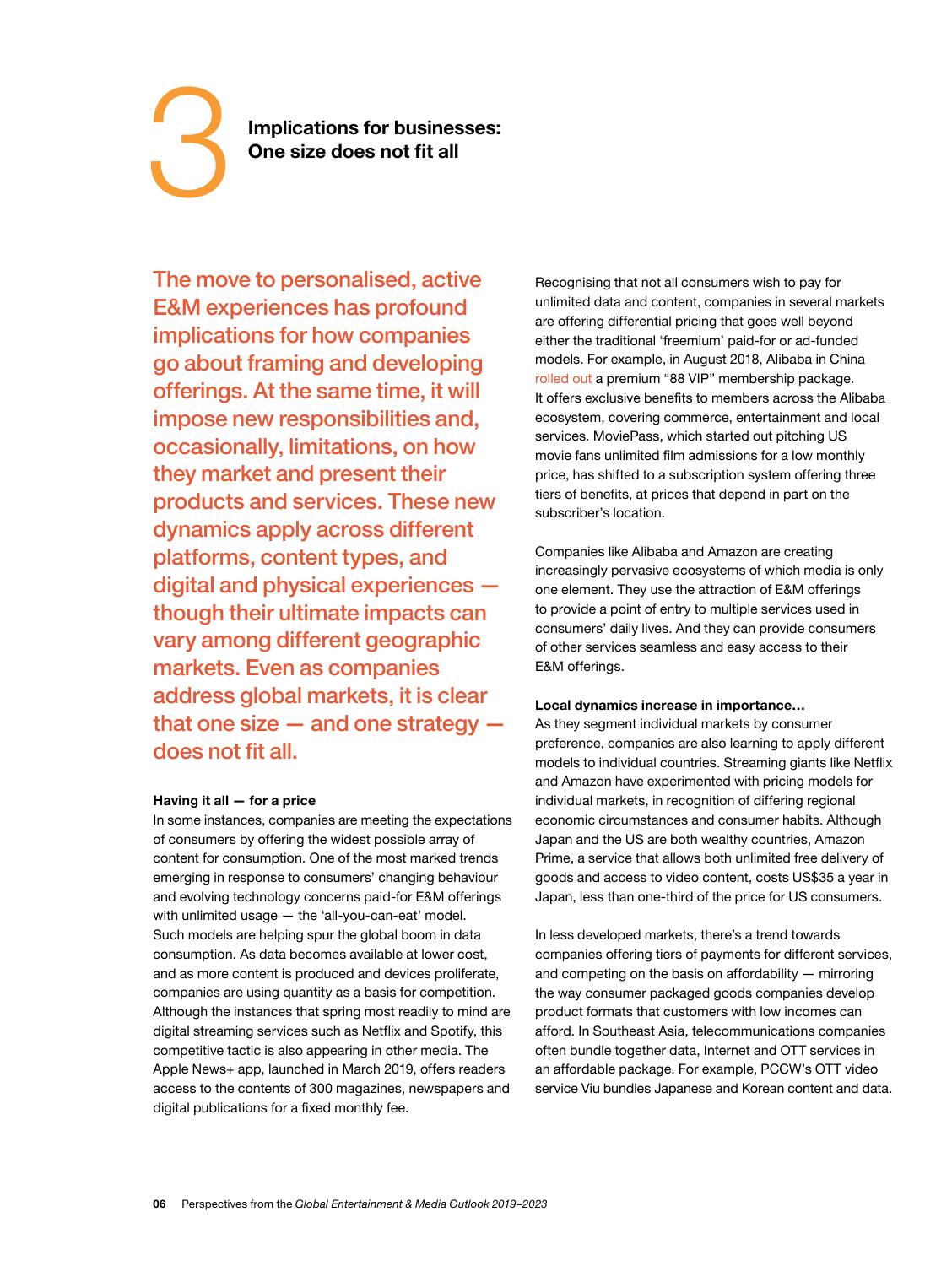# 3

**Implications for businesses: One size does not fit all**

The move to personalised, active E&M experiences has profound implications for how companies go about framing and developing offerings. At the same time, it will impose new responsibilities and, occasionally, limitations, on how they market and present their products and services. These new dynamics apply across different platforms, content types, and digital and physical experiences though their ultimate impacts can vary among different geographic markets. Even as companies address global markets, it is clear that one size  $-$  and one strategy  $$ does not fit all.

#### **Having it all — for a price**

In some instances, companies are meeting the expectations of consumers by offering the widest possible array of content for consumption. One of the most marked trends emerging in response to consumers' changing behaviour and evolving technology concerns paid-for E&M offerings with unlimited usage — the 'all-you-can-eat' model. Such models are helping spur the global boom in data consumption. As data becomes available at lower cost, and as more content is produced and devices proliferate, companies are using quantity as a basis for competition. Although the instances that spring most readily to mind are digital streaming services such as Netflix and Spotify, this competitive tactic is also appearing in other media. The Apple News+ app, launched in March 2019, offers readers access to the contents of 300 magazines, newspapers and digital publications for a fixed monthly fee.

Recognising that not all consumers wish to pay for unlimited data and content, companies in several markets are offering differential pricing that goes well beyond either the traditional 'freemium' paid-for or ad-funded models. For example, in August 2018, Alibaba in China [rolled out](https://www.alibabagroup.com/en/news/article?news=p180809) a premium "88 VIP" membership package. It offers exclusive benefits to members across the Alibaba ecosystem, covering commerce, entertainment and local services. MoviePass, which started out pitching US movie fans unlimited film admissions for a low monthly price, has shifted to a subscription system offering three tiers of benefits, at prices that depend in part on the subscriber's location.

Companies like Alibaba and Amazon are creating increasingly pervasive ecosystems of which media is only one element. They use the attraction of E&M offerings to provide a point of entry to multiple services used in consumers' daily lives. And they can provide consumers of other services seamless and easy access to their E&M offerings.

#### **Local dynamics increase in importance…**

As they segment individual markets by consumer preference, companies are also learning to apply different models to individual countries. Streaming giants like Netflix and Amazon have experimented with pricing models for individual markets, in recognition of differing regional economic circumstances and consumer habits. Although Japan and the US are both wealthy countries, Amazon Prime, a service that allows both unlimited free delivery of goods and access to video content, costs US\$35 a year in Japan, less than one-third of the price for US consumers.

In less developed markets, there's a trend towards companies offering tiers of payments for different services, and competing on the basis on affordability — mirroring the way consumer packaged goods companies develop product formats that customers with low incomes can afford. In Southeast Asia, telecommunications companies often bundle together data, Internet and OTT services in an affordable package. For example, PCCW's OTT video service Viu bundles Japanese and Korean content and data.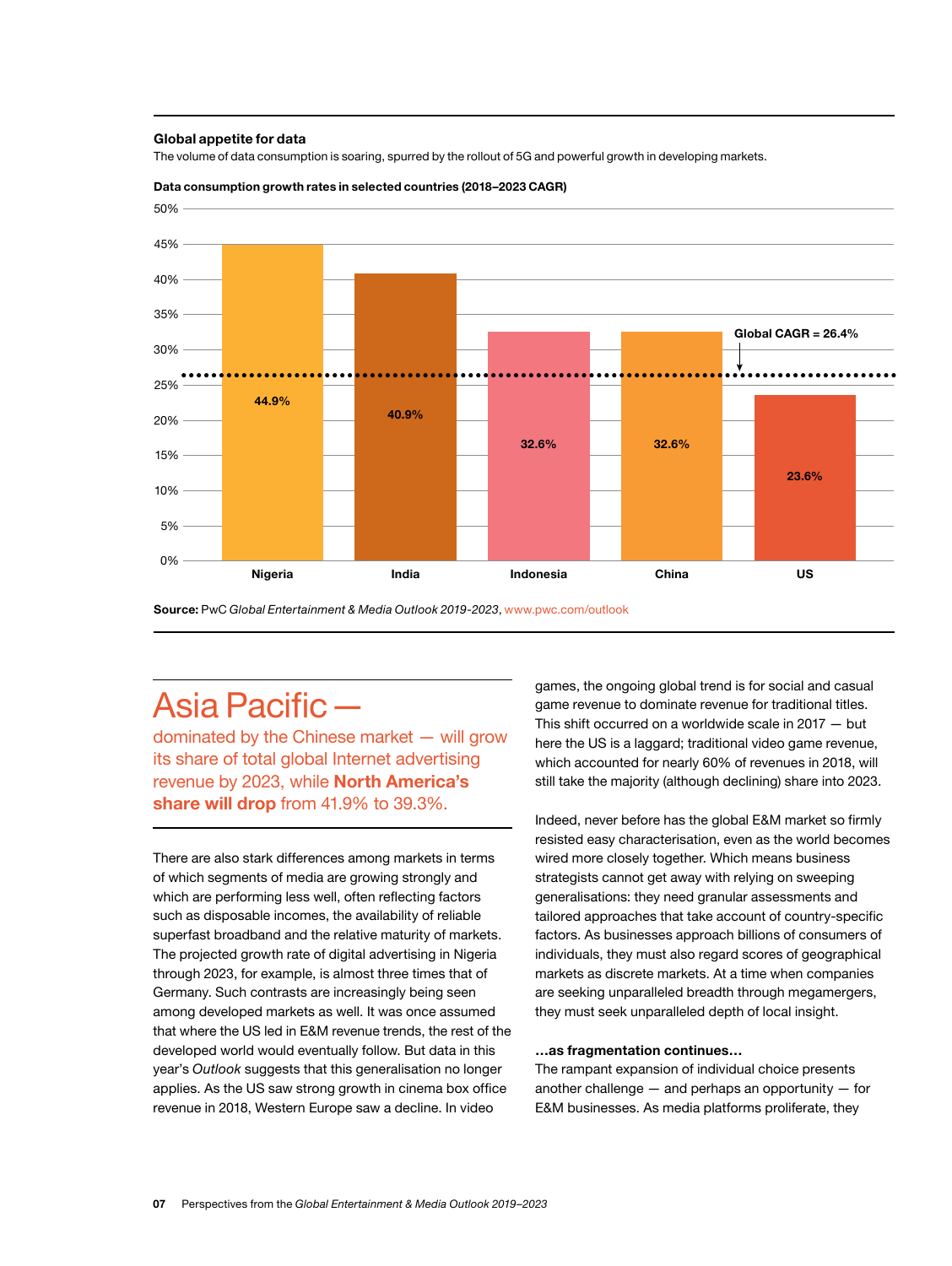#### **Global appetite for data**

The volume of data consumption is soaring, spurred by the rollout of 5G and powerful growth in developing markets.



#### **Data consumption growth rates in selected countries (2018–2023 CAGR)**

**Source:** PwC *Global Entertainment & Media Outlook 2019-2023*, www.pwc.com/outlook

## Asia Pacific—

dominated by the Chinese market — will grow its share of total global Internet advertising revenue by 2023, while **North America's share will drop** from 41.9% to 39.3%.

There are also stark differences among markets in terms of which segments of media are growing strongly and which are performing less well, often reflecting factors such as disposable incomes, the availability of reliable superfast broadband and the relative maturity of markets. The projected growth rate of digital advertising in Nigeria through 2023, for example, is almost three times that of Germany. Such contrasts are increasingly being seen among developed markets as well. It was once assumed that where the US led in E&M revenue trends, the rest of the developed world would eventually follow. But data in this year's *Outlook* suggests that this generalisation no longer applies. As the US saw strong growth in cinema box office revenue in 2018, Western Europe saw a decline. In video

games, the ongoing global trend is for social and casual game revenue to dominate revenue for traditional titles. This shift occurred on a worldwide scale in 2017 — but here the US is a laggard; traditional video game revenue, which accounted for nearly 60% of revenues in 2018, will still take the majority (although declining) share into 2023.

Indeed, never before has the global E&M market so firmly resisted easy characterisation, even as the world becomes wired more closely together. Which means business strategists cannot get away with relying on sweeping generalisations: they need granular assessments and tailored approaches that take account of country-specific factors. As businesses approach billions of consumers of individuals, they must also regard scores of geographical markets as discrete markets. At a time when companies are seeking unparalleled breadth through megamergers, they must seek unparalleled depth of local insight.

#### **…as fragmentation continues…**

The rampant expansion of individual choice presents another challenge  $-$  and perhaps an opportunity  $-$  for E&M businesses. As media platforms proliferate, they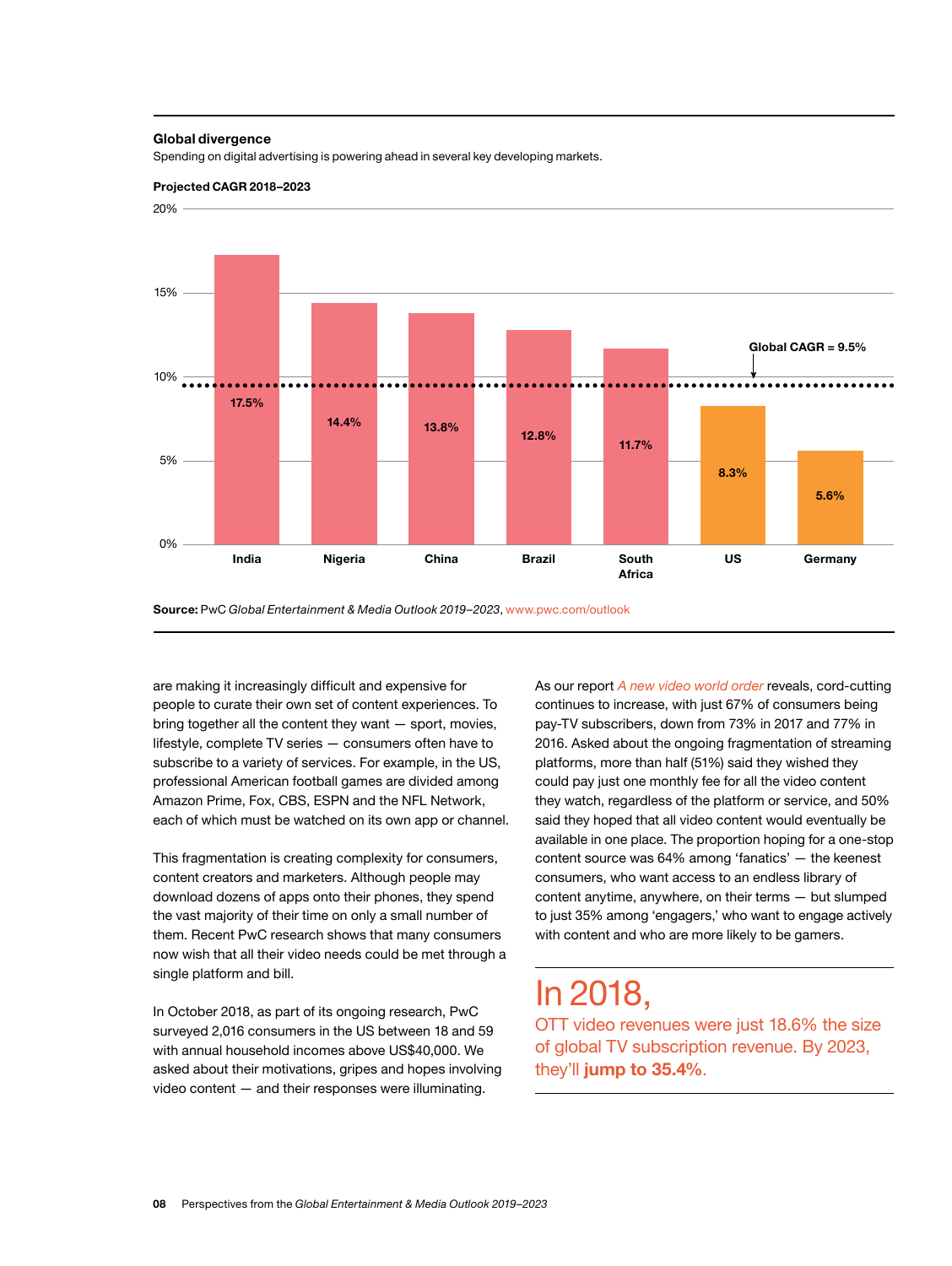#### **Global divergence**

Spending on digital advertising is powering ahead in several key developing markets.





**Source:** PwC *Global Entertainment & Media Outlook 2019–2023*, www.pwc.com/outlook

are making it increasingly difficult and expensive for people to curate their own set of content experiences. To bring together all the content they want — sport, movies, lifestyle, complete TV series — consumers often have to subscribe to a variety of services. For example, in the US, professional American football games are divided among Amazon Prime, Fox, CBS, ESPN and the NFL Network, each of which must be watched on its own app or channel.

This fragmentation is creating complexity for consumers, content creators and marketers. Although people may download dozens of apps onto their phones, they spend the vast majority of their time on only a small number of them. Recent PwC research shows that many consumers now wish that all their video needs could be met through a single platform and bill.

In October 2018, as part of its ongoing research, PwC surveyed 2,016 consumers in the US between 18 and 59 with annual household incomes above US\$40,000. We asked about their motivations, gripes and hopes involving video content — and their responses were illuminating.

As our report *[A new video world order](https://www.pwc.com/us/en/services/consulting/library/consumer-intelligence-series/video-consumer-motivations.html)* reveals, cord-cutting continues to increase, with just 67% of consumers being pay-TV subscribers, down from 73% in 2017 and 77% in 2016. Asked about the ongoing fragmentation of streaming platforms, more than half (51%) said they wished they could pay just one monthly fee for all the video content they watch, regardless of the platform or service, and 50% said they hoped that all video content would eventually be available in one place. The proportion hoping for a one-stop content source was 64% among 'fanatics' — the keenest consumers, who want access to an endless library of content anytime, anywhere, on their terms — but slumped to just 35% among 'engagers,' who want to engage actively with content and who are more likely to be gamers.

## In 2018,

OTT video revenues were just 18.6% the size of global TV subscription revenue. By 2023, they'll **jump to 35.4%**.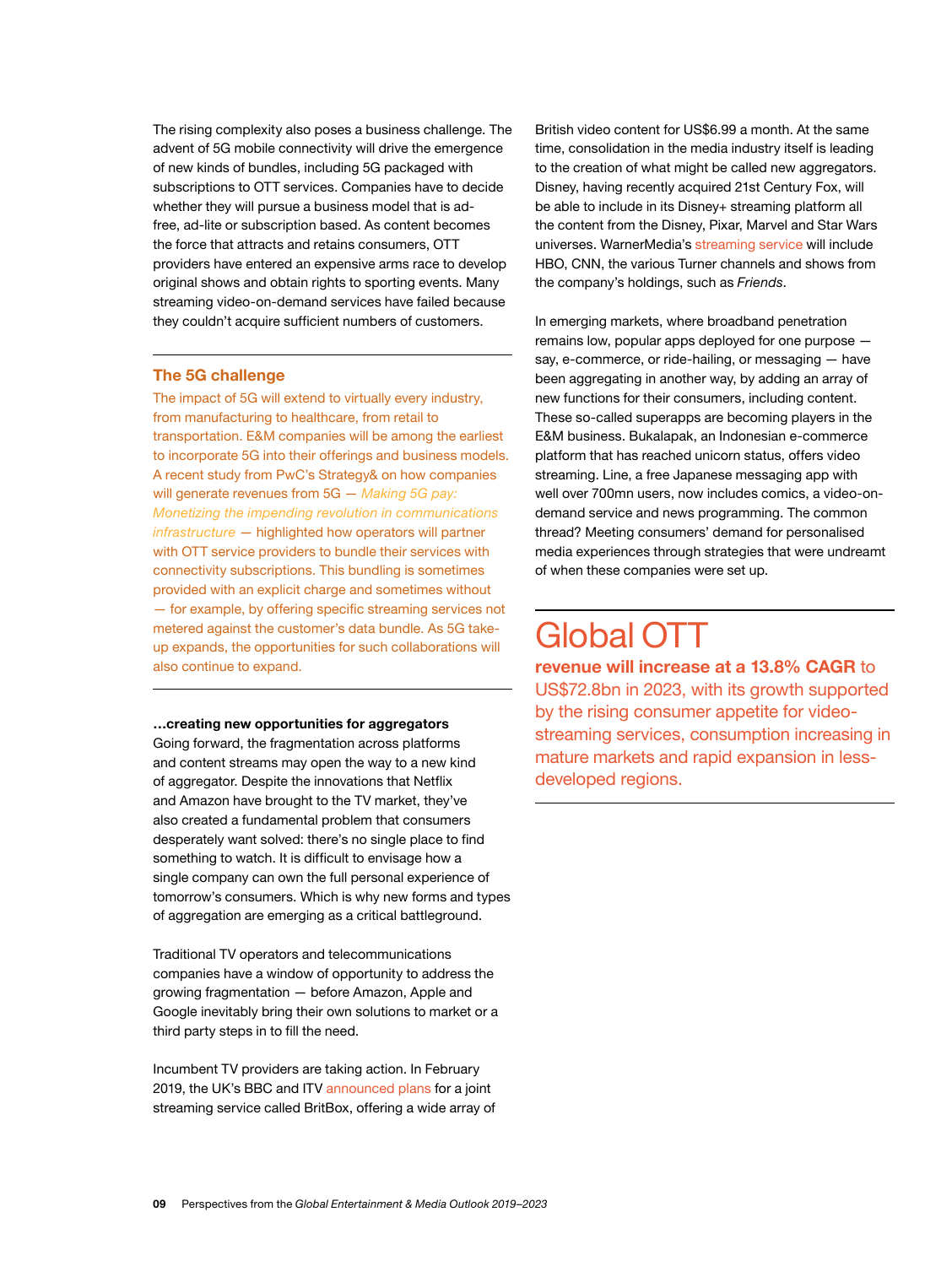The rising complexity also poses a business challenge. The advent of 5G mobile connectivity will drive the emergence of new kinds of bundles, including 5G packaged with subscriptions to OTT services. Companies have to decide whether they will pursue a business model that is adfree, ad-lite or subscription based. As content becomes the force that attracts and retains consumers, OTT providers have entered an expensive arms race to develop original shows and obtain rights to sporting events. Many streaming video-on-demand services have failed because they couldn't acquire sufficient numbers of customers.

#### **The 5G challenge**

The impact of 5G will extend to virtually every industry, from manufacturing to healthcare, from retail to transportation. E&M companies will be among the earliest to incorporate 5G into their offerings and business models. A recent study from PwC's Strategy& on how companies will generate revenues from 5G — *[Making 5G pay:](https://www.strategyand.pwc.com/report/Making-5G-pay)  [Monetizing the impending revolution in communications](https://www.strategyand.pwc.com/report/Making-5G-pay)  [infrastructure](https://www.strategyand.pwc.com/report/Making-5G-pay)* — highlighted how operators will partner with OTT service providers to bundle their services with connectivity subscriptions. This bundling is sometimes provided with an explicit charge and sometimes without — for example, by offering specific streaming services not metered against the customer's data bundle. As 5G takeup expands, the opportunities for such collaborations will also continue to expand.

**…creating new opportunities for aggregators** 

Going forward, the fragmentation across platforms and content streams may open the way to a new kind of aggregator. Despite the innovations that Netflix and Amazon have brought to the TV market, they've also created a fundamental problem that consumers desperately want solved: there's no single place to find something to watch. It is difficult to envisage how a single company can own the full personal experience of tomorrow's consumers. Which is why new forms and types of aggregation are emerging as a critical battleground.

Traditional TV operators and telecommunications companies have a window of opportunity to address the growing fragmentation — before Amazon, Apple and Google inevitably bring their own solutions to market or a third party steps in to fill the need.

Incumbent TV providers are taking action. In February 2019, the UK's BBC and ITV [announced plans](https://www.bbc.co.uk/mediacentre/latestnews/2019/britbox) for a joint streaming service called BritBox, offering a wide array of

British video content for US\$6.99 a month. At the same time, consolidation in the media industry itself is leading to the creation of what might be called new aggregators. Disney, having recently acquired 21st Century Fox, will be able to include in its Disney+ streaming platform all the content from the Disney, Pixar, Marvel and Star Wars universes. WarnerMedia's [streaming service](https://deadline.com/2019/02/kevin-reilly-warnermedia-streaming-1202554916/) will include HBO, CNN, the various Turner channels and shows from the company's holdings, such as *Friends*.

In emerging markets, where broadband penetration remains low, popular apps deployed for one purpose say, e-commerce, or ride-hailing, or messaging — have been aggregating in another way, by adding an array of new functions for their consumers, including content. These so-called superapps are becoming players in the E&M business. Bukalapak, an Indonesian e-commerce platform that has reached unicorn status, offers video streaming. Line, a free Japanese messaging app with well over 700mn users, now includes comics, a video-ondemand service and news programming. The common thread? Meeting consumers' demand for personalised media experiences through strategies that were undreamt of when these companies were set up.

## Global OTT

**revenue will increase at a 13.8% CAGR** to US\$72.8bn in 2023, with its growth supported by the rising consumer appetite for videostreaming services, consumption increasing in mature markets and rapid expansion in lessdeveloped regions.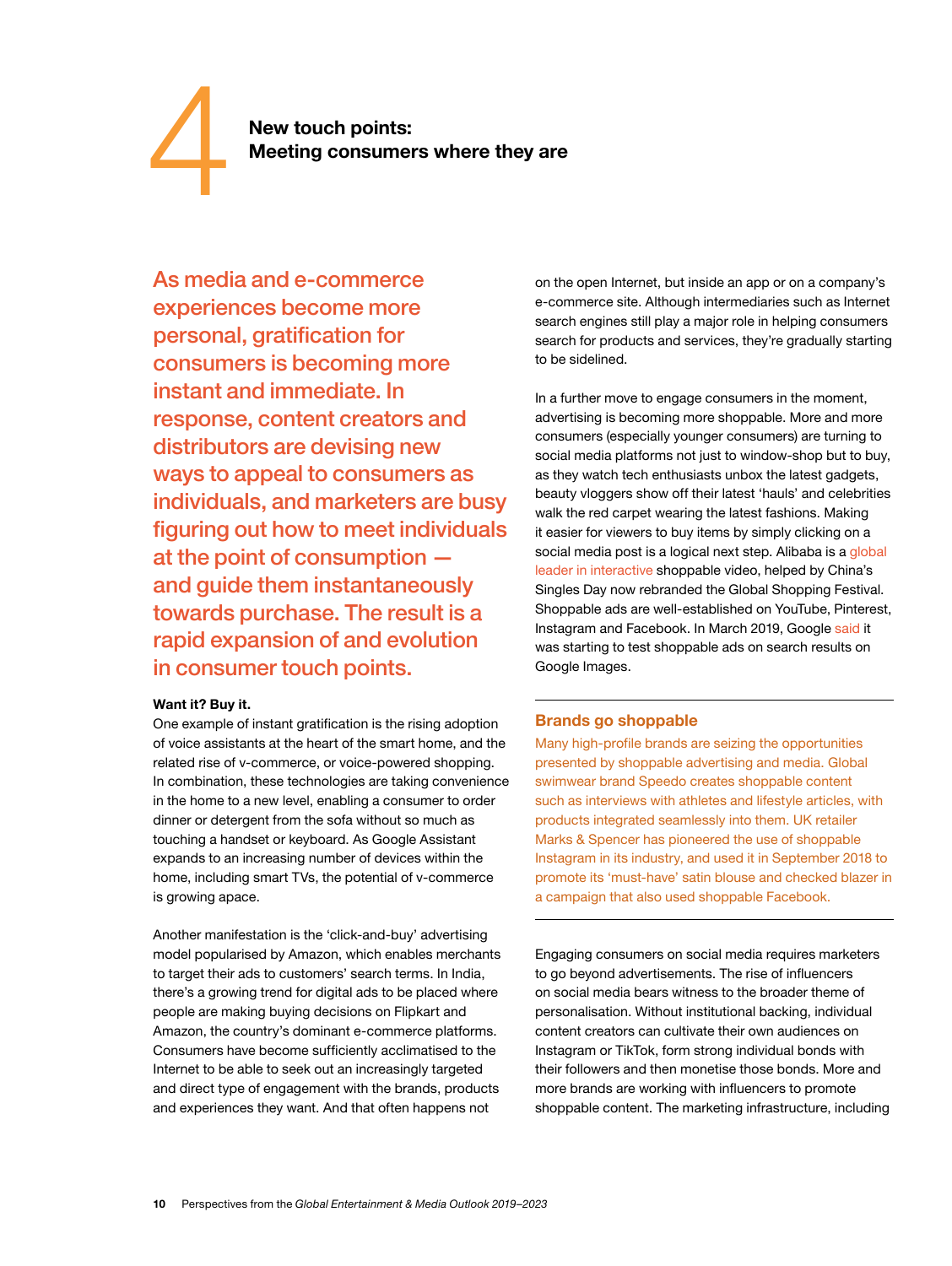New touch points:<br>Meeting consumers where they are

As media and e-commerce experiences become more personal, gratification for consumers is becoming more instant and immediate. In response, content creators and distributors are devising new ways to appeal to consumers as individuals, and marketers are busy figuring out how to meet individuals at the point of consumption and guide them instantaneously towards purchase. The result is a rapid expansion of and evolution in consumer touch points.

#### **Want it? Buy it.**

One example of instant gratification is the rising adoption of voice assistants at the heart of the smart home, and the related rise of v-commerce, or voice-powered shopping. In combination, these technologies are taking convenience in the home to a new level, enabling a consumer to order dinner or detergent from the sofa without so much as touching a handset or keyboard. As Google Assistant expands to an increasing number of devices within the home, including smart TVs, the potential of v-commerce is growing apace.

Another manifestation is the 'click-and-buy' advertising model popularised by Amazon, which enables merchants to target their ads to customers' search terms. In India, there's a growing trend for digital ads to be placed where people are making buying decisions on Flipkart and Amazon, the country's dominant e-commerce platforms. Consumers have become sufficiently acclimatised to the Internet to be able to seek out an increasingly targeted and direct type of engagement with the brands, products and experiences they want. And that often happens not

on the open Internet, but inside an app or on a company's e-commerce site. Although intermediaries such as Internet search engines still play a major role in helping consumers search for products and services, they're gradually starting to be sidelined.

In a further move to engage consumers in the moment, advertising is becoming more shoppable. More and more consumers (especially younger consumers) are turning to social media platforms not just to window-shop but to buy, as they watch tech enthusiasts unbox the latest gadgets, beauty vloggers show off their latest 'hauls' and celebrities walk the red carpet wearing the latest fashions. Making it easier for viewers to buy items by simply clicking on a social media post is a logical next step. Alibaba is a [global](https://medium.com/exmachinagroup/alibaba-and-ted-baker-two-case-studies-in-shoppable-video-91d5af40db4c)  [leader in interactive](https://medium.com/exmachinagroup/alibaba-and-ted-baker-two-case-studies-in-shoppable-video-91d5af40db4c) shoppable video, helped by China's Singles Day now rebranded the Global Shopping Festival. Shoppable ads are well-established on YouTube, Pinterest, Instagram and Facebook. In March 2019, Google [said](https://www.businessinsider.com/google-will-start-testing-shoppable-ads-in-image-searches-2019-3?r=US&IR=T) it was starting to test shoppable ads on search results on Google Images.

#### **Brands go shoppable**

Many high-profile brands are seizing the opportunities presented by shoppable advertising and media. Global swimwear brand Speedo creates shoppable content such as interviews with athletes and lifestyle articles, with products integrated seamlessly into them. UK retailer Marks & Spencer has pioneered the use of shoppable Instagram in its industry, and used it in September 2018 to promote its 'must-have' satin blouse and checked blazer in a campaign that also used shoppable Facebook.

Engaging consumers on social media requires marketers to go beyond advertisements. The rise of influencers on social media bears witness to the broader theme of personalisation. Without institutional backing, individual content creators can cultivate their own audiences on Instagram or TikTok, form strong individual bonds with their followers and then monetise those bonds. More and more brands are working with influencers to promote shoppable content. The marketing infrastructure, including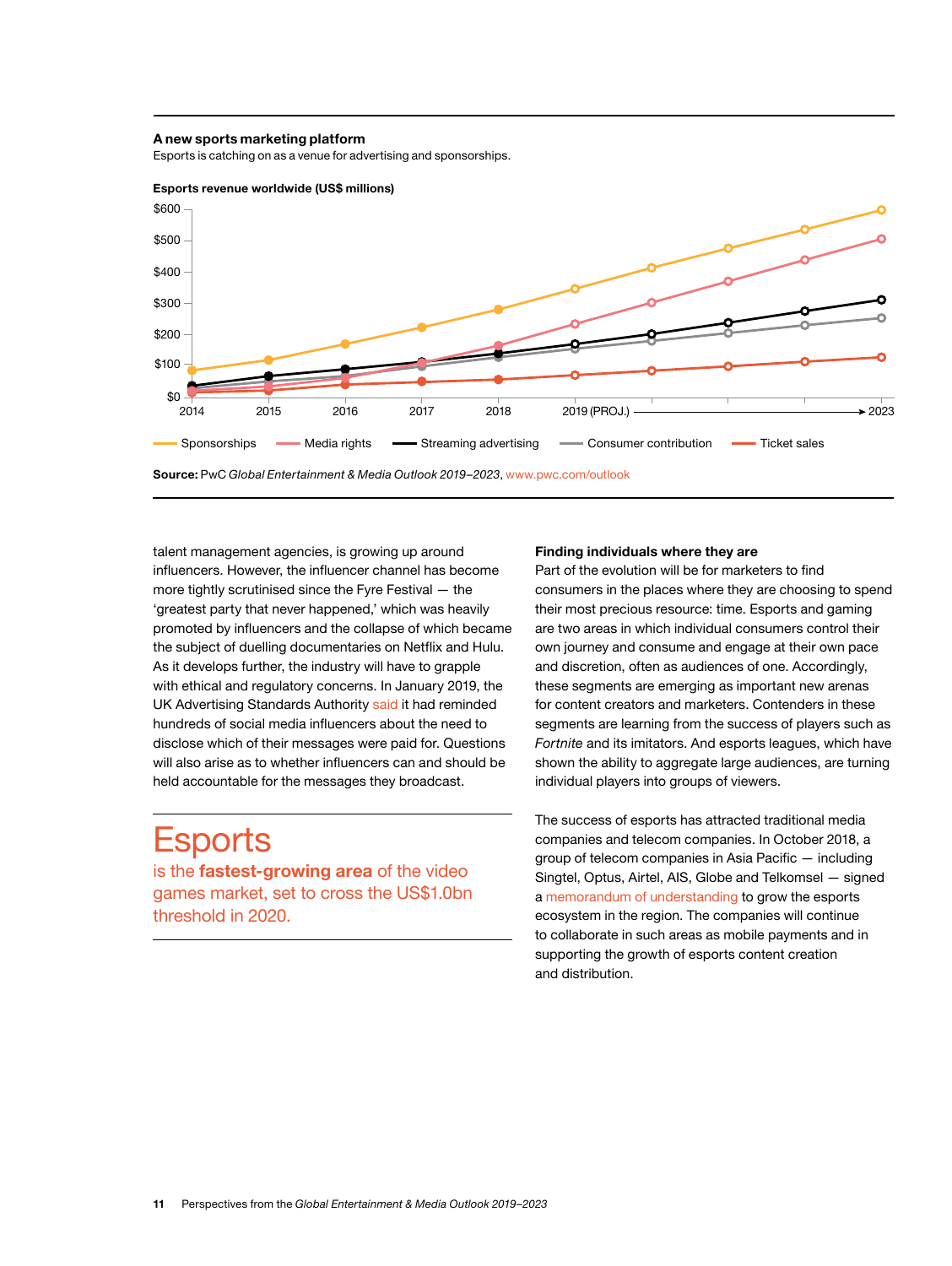#### **A new sports marketing platform**

Esports is catching on as a venue for advertising and sponsorships.



talent management agencies, is growing up around influencers. However, the influencer channel has become more tightly scrutinised since the Fyre Festival — the 'greatest party that never happened,' which was heavily promoted by influencers and the collapse of which became the subject of duelling documentaries on Netflix and Hulu. As it develops further, the industry will have to grapple with ethical and regulatory concerns. In January 2019, the UK Advertising Standards Authority [said](https://www.prweek.com/article/1522834/hundreds-influencers-warned-asa) it had reminded hundreds of social media influencers about the need to disclose which of their messages were paid for. Questions will also arise as to whether influencers can and should be held accountable for the messages they broadcast.

## **Esports**

is the **fastest-growing area** of the video games market, set to cross the US\$1.0bn threshold in 2020.

#### **Finding individuals where they are**

Part of the evolution will be for marketers to find consumers in the places where they are choosing to spend their most precious resource: time. Esports and gaming are two areas in which individual consumers control their own journey and consume and engage at their own pace and discretion, often as audiences of one. Accordingly, these segments are emerging as important new arenas for content creators and marketers. Contenders in these segments are learning from the success of players such as *Fortnite* and its imitators. And esports leagues, which have shown the ability to aggregate large audiences, are turning individual players into groups of viewers.

The success of esports has attracted traditional media companies and telecom companies. In October 2018, a group of telecom companies in Asia Pacific — including Singtel, Optus, Airtel, AIS, Globe and Telkomsel — signed a [memorandum of understanding](https://www.thedrum.com/news/2018/10/08/telcos-asia-pacific-commit-building-and-growing-esports-ecosystem-the-region) to grow the esports ecosystem in the region. The companies will continue to collaborate in such areas as mobile payments and in supporting the growth of esports content creation and distribution.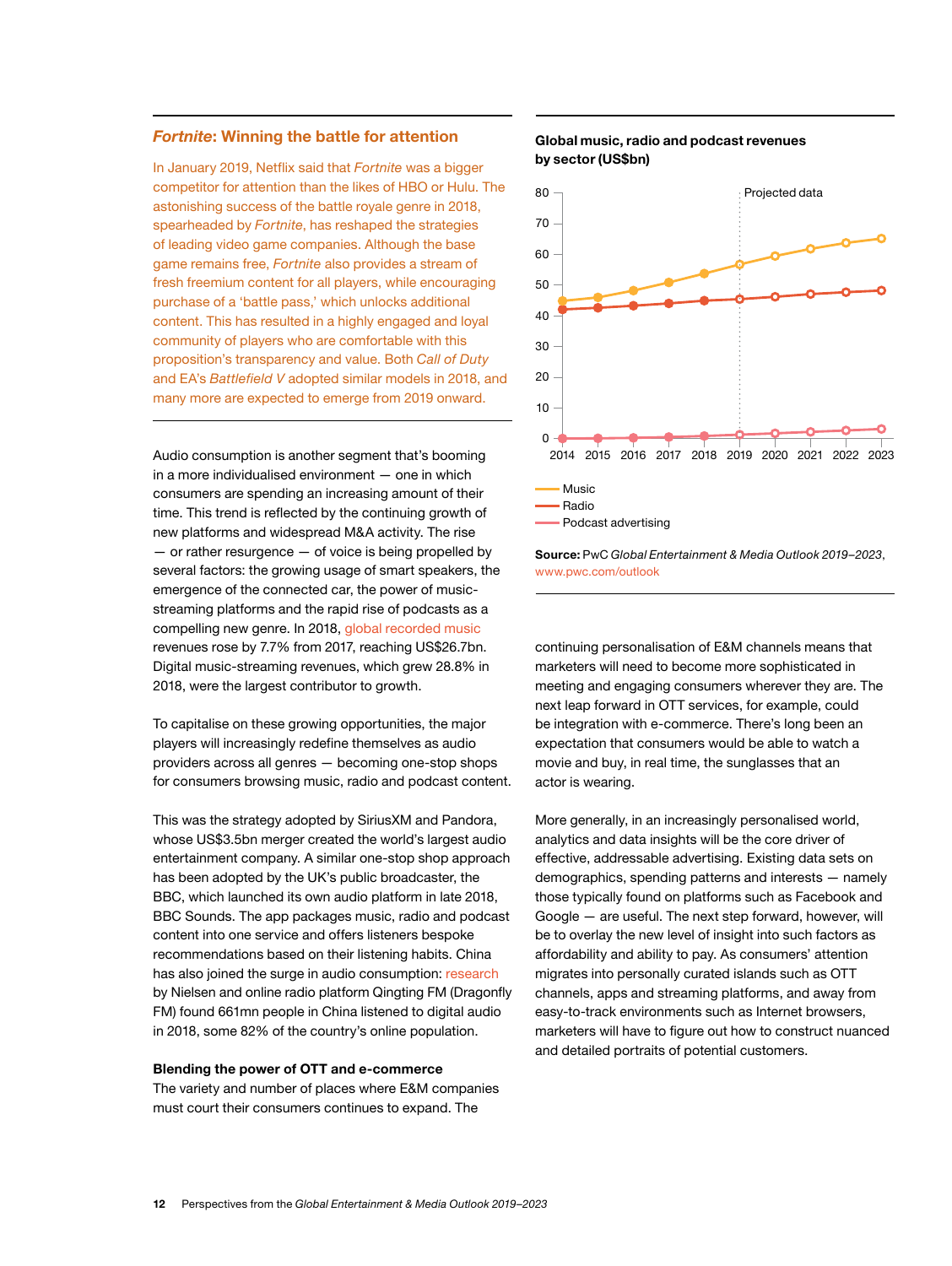#### *Fortnite***: Winning the battle for attention**

In January 2019, Netflix said that *Fortnite* was a bigger competitor for attention than the likes of HBO or Hulu. The astonishing success of the battle royale genre in 2018, spearheaded by *Fortnite*, has reshaped the strategies of leading video game companies. Although the base game remains free, *Fortnite* also provides a stream of fresh freemium content for all players, while encouraging purchase of a 'battle pass,' which unlocks additional content. This has resulted in a highly engaged and loyal community of players who are comfortable with this proposition's transparency and value. Both *Call of Duty* and EA's *Battlefield V* adopted similar models in 2018, and many more are expected to emerge from 2019 onward.

Audio consumption is another segment that's booming in a more individualised environment — one in which consumers are spending an increasing amount of their time. This trend is reflected by the continuing growth of new platforms and widespread M&A activity. The rise  $-$  or rather resurgence  $-$  of voice is being propelled by several factors: the growing usage of smart speakers, the emergence of the connected car, the power of musicstreaming platforms and the rapid rise of podcasts as a compelling new genre. In 2018, [global recorded music](https://www.theguardian.com/business/2019/apr/02/global-music-revenues-cds-spotify-apple-music-amazon-music) revenues rose by 7.7% from 2017, reaching US\$26.7bn. Digital music-streaming revenues, which grew 28.8% in 2018, were the largest contributor to growth.

To capitalise on these growing opportunities, the major players will increasingly redefine themselves as audio providers across all genres — becoming one-stop shops for consumers browsing music, radio and podcast content.

This was the strategy adopted by SiriusXM and Pandora, whose US\$3.5bn merger created the world's largest audio entertainment company. A similar one-stop shop approach has been adopted by the UK's public broadcaster, the BBC, which launched its own audio platform in late 2018, BBC Sounds. The app packages music, radio and podcast content into one service and offers listeners bespoke recommendations based on their listening habits. China has also joined the surge in audio consumption: [research](https://www.kr-asia.com/over-650-million-chinese-tuned-into-digital-audio-in-2018) by Nielsen and online radio platform Qingting FM (Dragonfly FM) found 661mn people in China listened to digital audio in 2018, some 82% of the country's online population.

#### **Blending the power of OTT and e-commerce**

The variety and number of places where E&M companies must court their consumers continues to expand. The

#### **Global music, radio and podcast revenues by sector(US\$bn)**



**Source:** PwC *Global Entertainment & Media Outlook 2019–2023*, www.pwc.com/outlook

continuing personalisation of E&M channels means that marketers will need to become more sophisticated in meeting and engaging consumers wherever they are. The next leap forward in OTT services, for example, could be integration with e-commerce. There's long been an expectation that consumers would be able to watch a movie and buy, in real time, the sunglasses that an actor is wearing.

More generally, in an increasingly personalised world, analytics and data insights will be the core driver of effective, addressable advertising. Existing data sets on demographics, spending patterns and interests — namely those typically found on platforms such as Facebook and Google — are useful. The next step forward, however, will be to overlay the new level of insight into such factors as affordability and ability to pay. As consumers' attention migrates into personally curated islands such as OTT channels, apps and streaming platforms, and away from easy-to-track environments such as Internet browsers, marketers will have to figure out how to construct nuanced and detailed portraits of potential customers.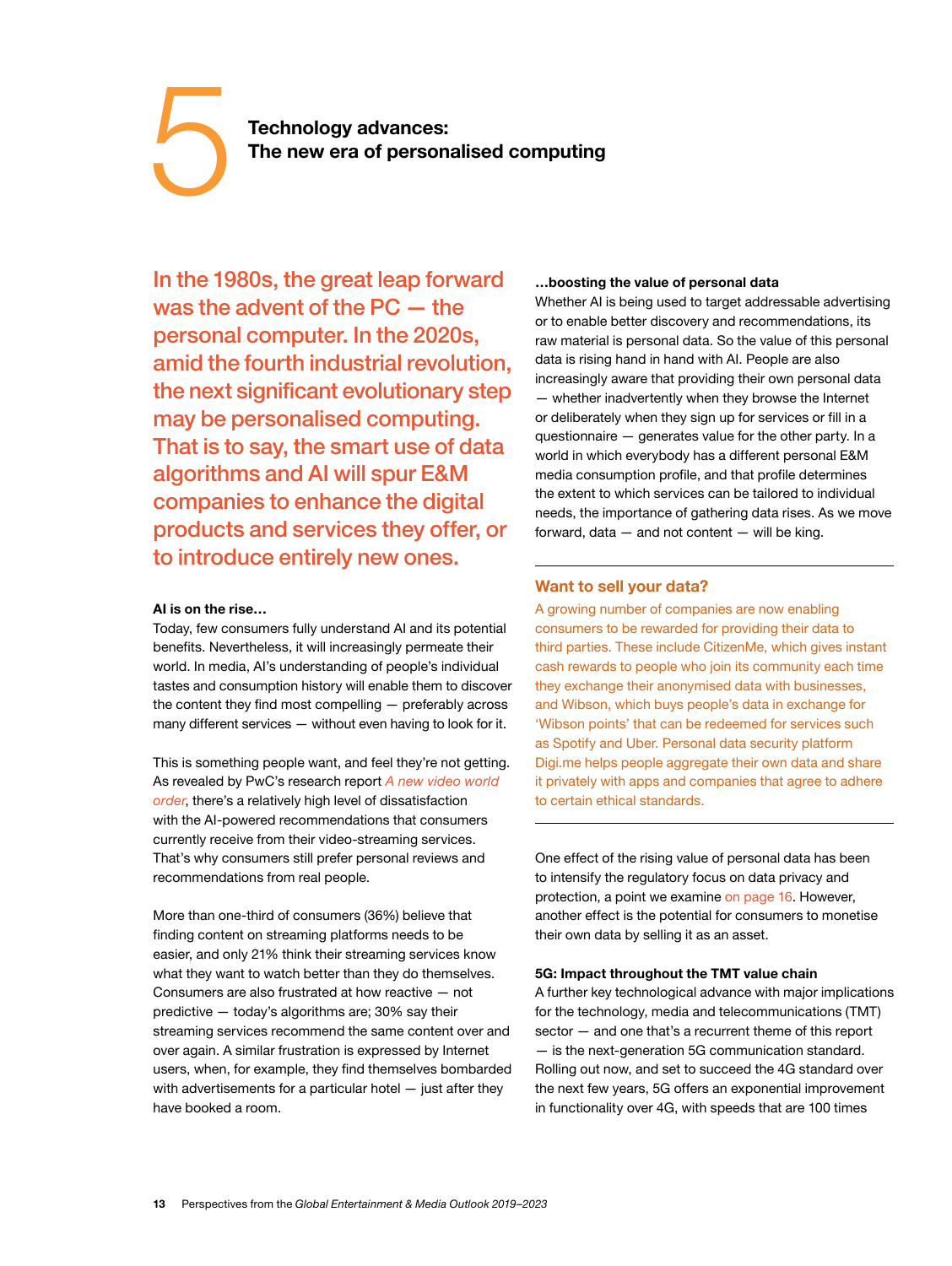# <span id="page-14-0"></span>**Technology advances:**<br>
The new era of personalised computing

In the 1980s, the great leap forward was the advent of the PC — the personal computer. In the 2020s, amid the fourth industrial revolution, the next significant evolutionary step may be personalised computing. That is to say, the smart use of data algorithms and AI will spur E&M companies to enhance the digital products and services they offer, or to introduce entirely new ones.

#### **AI is on the rise…**

Today, few consumers fully understand AI and its potential benefits. Nevertheless, it will increasingly permeate their world. In media, AI's understanding of people's individual tastes and consumption history will enable them to discover the content they find most compelling — preferably across many different services — without even having to look for it.

This is something people want, and feel they're not getting. As revealed by PwC's research report *[A new video world](https://www.pwc.com/us/en/services/consulting/library/consumer-intelligence-series/video-consumer-motivations.html)  [order](https://www.pwc.com/us/en/services/consulting/library/consumer-intelligence-series/video-consumer-motivations.html)*, there's a relatively high level of dissatisfaction with the AI-powered recommendations that consumers currently receive from their video-streaming services. That's why consumers still prefer personal reviews and recommendations from real people.

More than one-third of consumers (36%) believe that finding content on streaming platforms needs to be easier, and only 21% think their streaming services know what they want to watch better than they do themselves. Consumers are also frustrated at how reactive — not predictive — today's algorithms are; 30% say their streaming services recommend the same content over and over again. A similar frustration is expressed by Internet users, when, for example, they find themselves bombarded with advertisements for a particular hotel — just after they have booked a room.

#### **…boosting the value of personal data**

Whether AI is being used to target addressable advertising or to enable better discovery and recommendations, its raw material is personal data. So the value of this personal data is rising hand in hand with AI. People are also increasingly aware that providing their own personal data — whether inadvertently when they browse the Internet or deliberately when they sign up for services or fill in a questionnaire — generates value for the other party. In a world in which everybody has a different personal E&M media consumption profile, and that profile determines the extent to which services can be tailored to individual needs, the importance of gathering data rises. As we move forward, data  $-$  and not content  $-$  will be king.

#### **Want to sell your data?**

A growing number of companies are now enabling consumers to be rewarded for providing their data to third parties. These include CitizenMe, which gives instant cash rewards to people who join its community each time they exchange their anonymised data with businesses, and Wibson, which buys people's data in exchange for 'Wibson points' that can be redeemed for services such as Spotify and Uber. Personal data security platform Digi.me helps people aggregate their own data and share it privately with apps and companies that agree to adhere to certain ethical standards.

One effect of the rising value of personal data has been to intensify the regulatory focus on data privacy and protection, a point we examine [on page 16.](#page-17-0) However, another effect is the potential for consumers to monetise their own data by selling it as an asset.

#### **5G: Impact throughout the TMT value chain**

A further key technological advance with major implications for the technology, media and telecommunications (TMT) sector — and one that's a recurrent theme of this report — is the next-generation 5G communication standard. Rolling out now, and set to succeed the 4G standard over the next few years, 5G offers an exponential improvement in functionality over 4G, with speeds that are 100 times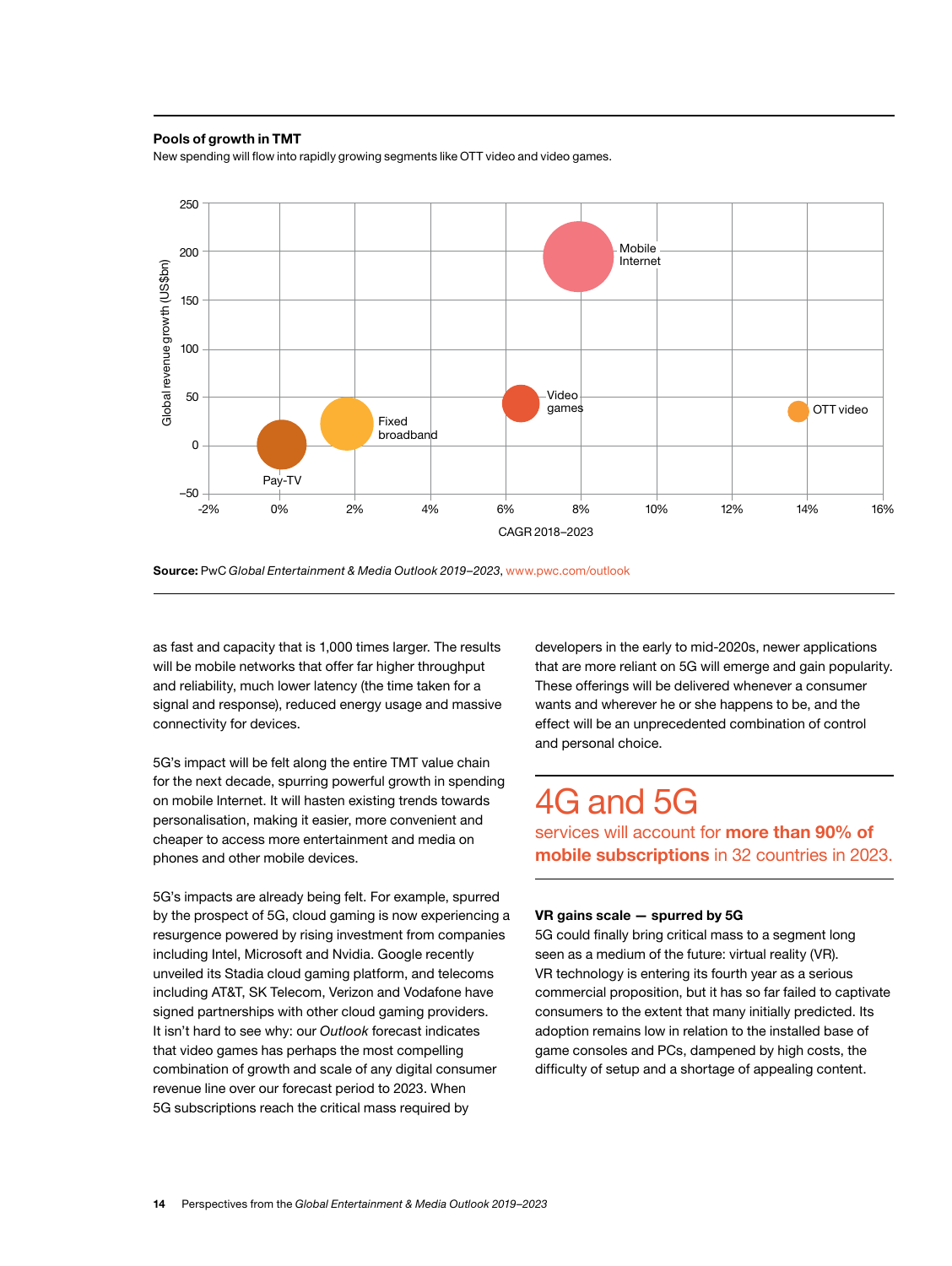#### **Pools of growth in TMT**

New spending will flow into rapidly growing segments like OTT video and video games.



**Source:** PwC *Global Entertainment & Media Outlook 2019–2023*, www.pwc.com/outlook

as fast and capacity that is 1,000 times larger. The results will be mobile networks that offer far higher throughput and reliability, much lower latency (the time taken for a signal and response), reduced energy usage and massive connectivity for devices.

5G's impact will be felt along the entire TMT value chain for the next decade, spurring powerful growth in spending on mobile Internet. It will hasten existing trends towards personalisation, making it easier, more convenient and cheaper to access more entertainment and media on phones and other mobile devices.

5G's impacts are already being felt. For example, spurred by the prospect of 5G, cloud gaming is now experiencing a resurgence powered by rising investment from companies including Intel, Microsoft and Nvidia. Google recently unveiled its Stadia cloud gaming platform, and telecoms including AT&T, SK Telecom, Verizon and Vodafone have signed partnerships with other cloud gaming providers. It isn't hard to see why: our *Outlook* forecast indicates that video games has perhaps the most compelling combination of growth and scale of any digital consumer revenue line over our forecast period to 2023. When 5G subscriptions reach the critical mass required by

developers in the early to mid-2020s, newer applications that are more reliant on 5G will emerge and gain popularity. These offerings will be delivered whenever a consumer wants and wherever he or she happens to be, and the effect will be an unprecedented combination of control and personal choice.

## 4G and 5G

services will account for **more than 90% of mobile subscriptions** in 32 countries in 2023.

#### **VR gains scale — spurred by 5G**

5G could finally bring critical mass to a segment long seen as a medium of the future: virtual reality (VR). VR technology is entering its fourth year as a serious commercial proposition, but it has so far failed to captivate consumers to the extent that many initially predicted. Its adoption remains low in relation to the installed base of game consoles and PCs, dampened by high costs, the difficulty of setup and a shortage of appealing content.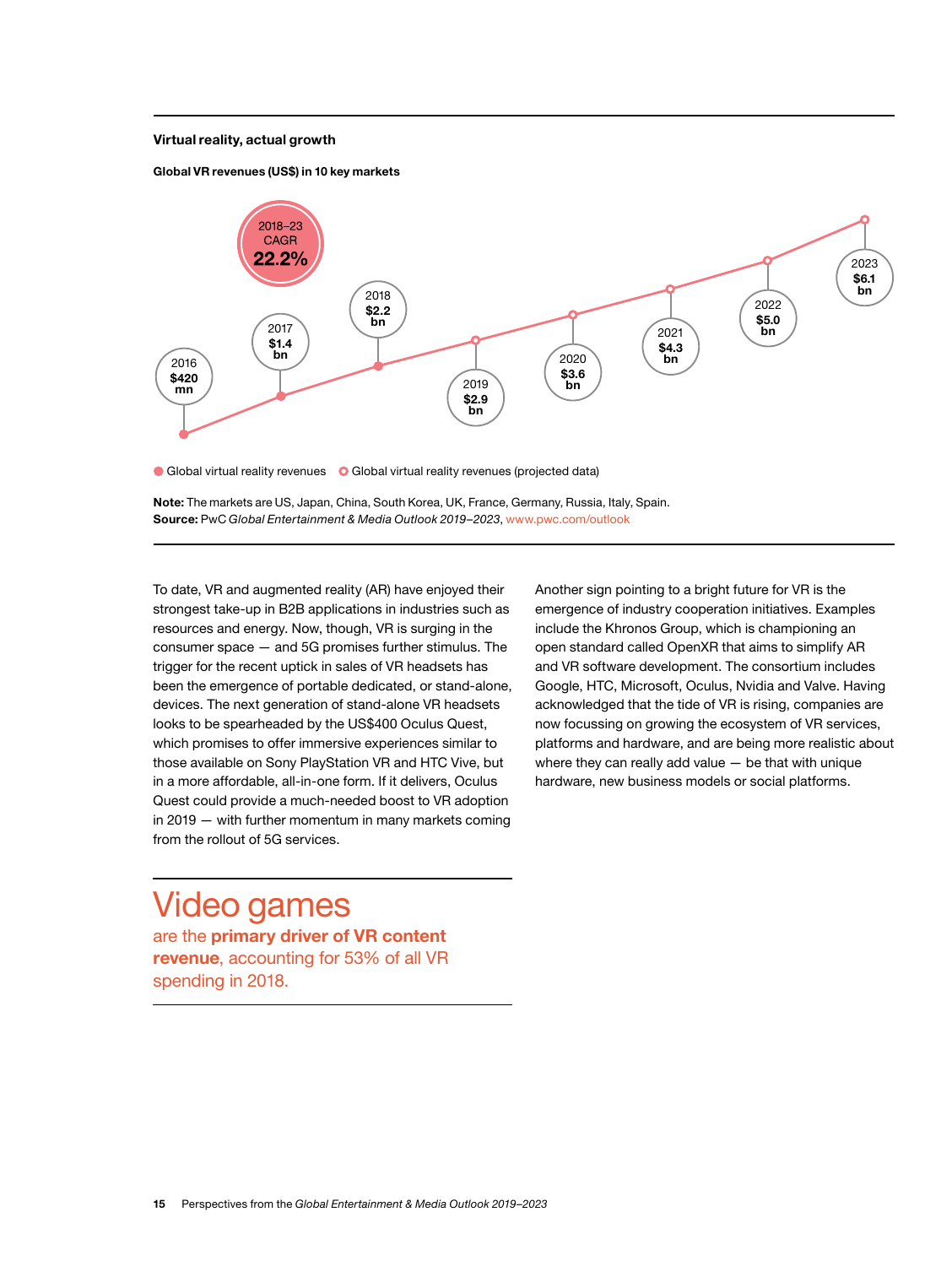#### **Virtual reality, actual growth**





Global virtual reality revenues **O** Global virtual reality revenues (projected data)

**Note:** The markets are US, Japan, China, South Korea, UK, France, Germany, Russia, Italy, Spain. **Source:** PwC *Global Entertainment & Media Outlook 2019–2023*, www.pwc.com/outlook

To date, VR and augmented reality (AR) have enjoyed their strongest take-up in B2B applications in industries such as resources and energy. Now, though, VR is surging in the consumer space — and 5G promises further stimulus. The trigger for the recent uptick in sales of VR headsets has been the emergence of portable dedicated, or stand-alone, devices. The next generation of stand-alone VR headsets looks to be spearheaded by the US\$400 Oculus Quest, which promises to offer immersive experiences similar to those available on Sony PlayStation VR and HTC Vive, but in a more affordable, all-in-one form. If it delivers, Oculus Quest could provide a much-needed boost to VR adoption in 2019 — with further momentum in many markets coming from the rollout of 5G services.

Video games are the **primary driver of VR content revenue**, accounting for 53% of all VR spending in 2018.

Another sign pointing to a bright future for VR is the emergence of industry cooperation initiatives. Examples include the Khronos Group, which is championing an open standard called OpenXR that aims to simplify AR and VR software development. The consortium includes Google, HTC, Microsoft, Oculus, Nvidia and Valve. Having acknowledged that the tide of VR is rising, companies are now focussing on growing the ecosystem of VR services, platforms and hardware, and are being more realistic about where they can really add value — be that with unique hardware, new business models or social platforms.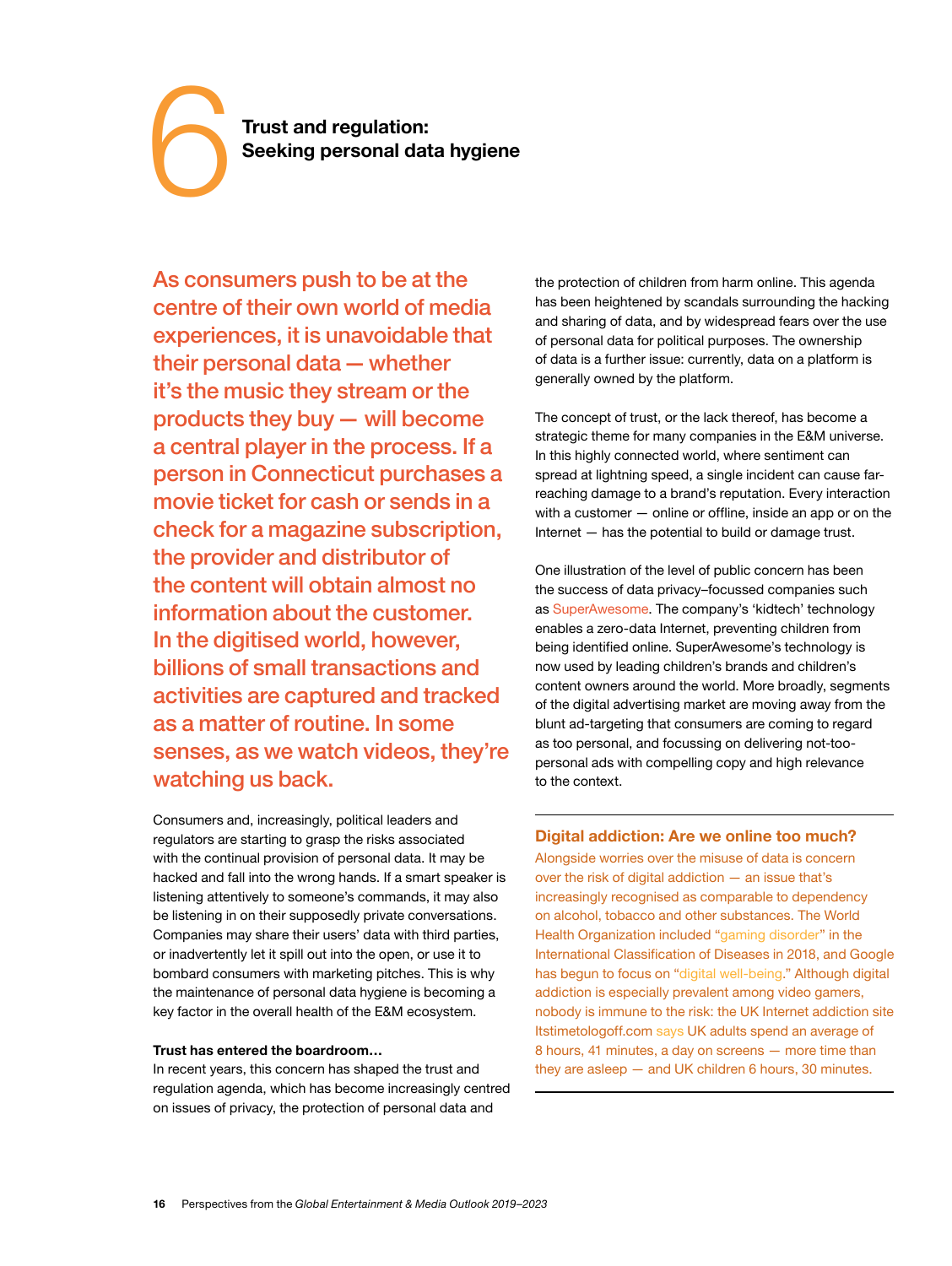<span id="page-17-0"></span>**Trust and regulation:**<br> **Seeking personal data hygiene** 

As consumers push to be at the centre of their own world of media experiences, it is unavoidable that their personal data — whether it's the music they stream or the products they buy — will become a central player in the process. If a person in Connecticut purchases a movie ticket for cash or sends in a check for a magazine subscription, the provider and distributor of the content will obtain almost no information about the customer. In the digitised world, however, billions of small transactions and activities are captured and tracked as a matter of routine. In some senses, as we watch videos, they're watching us back.

Consumers and, increasingly, political leaders and regulators are starting to grasp the risks associated with the continual provision of personal data. It may be hacked and fall into the wrong hands. If a smart speaker is listening attentively to someone's commands, it may also be listening in on their supposedly private conversations. Companies may share their users' data with third parties, or inadvertently let it spill out into the open, or use it to bombard consumers with marketing pitches. This is why the maintenance of personal data hygiene is becoming a key factor in the overall health of the E&M ecosystem.

#### **Trust has entered the boardroom…**

In recent years, this concern has shaped the trust and regulation agenda, which has become increasingly centred on issues of privacy, the protection of personal data and

the protection of children from harm online. This agenda has been heightened by scandals surrounding the hacking and sharing of data, and by widespread fears over the use of personal data for political purposes. The ownership of data is a further issue: currently, data on a platform is generally owned by the platform.

The concept of trust, or the lack thereof, has become a strategic theme for many companies in the E&M universe. In this highly connected world, where sentiment can spread at lightning speed, a single incident can cause farreaching damage to a brand's reputation. Every interaction with a customer — online or offline, inside an app or on the Internet — has the potential to build or damage trust.

One illustration of the level of public concern has been the success of data privacy–focussed companies such as [SuperAwesome.](https://www.strategy-business.com/article/The-kidtech-is-all-right?gko=74869) The company's 'kidtech' technology enables a zero-data Internet, preventing children from being identified online. SuperAwesome's technology is now used by leading children's brands and children's content owners around the world. More broadly, segments of the digital advertising market are moving away from the blunt ad-targeting that consumers are coming to regard as too personal, and focussing on delivering not-toopersonal ads with compelling copy and high relevance to the context.

#### **Digital addiction: Are we online too much?**

Alongside worries over the misuse of data is concern over the risk of digital addiction — an issue that's increasingly recognised as comparable to dependency on alcohol, tobacco and other substances. The World Health Organization included "[gaming disorder"](http://www.who.int/features/qa/gaming-disorder/en/) in the International Classification of Diseases in 2018, and Google has begun to focus on ["digital well-being](https://wellbeing.google/)." Although digital addiction is especially prevalent among video gamers, nobody is immune to the risk: the UK Internet addiction site Itstimetologoff.com [says](https://www.itstimetologoff.com/digital-detox-facts/) UK adults spend an average of 8 hours, 41 minutes, a day on screens — more time than they are asleep — and UK children 6 hours, 30 minutes.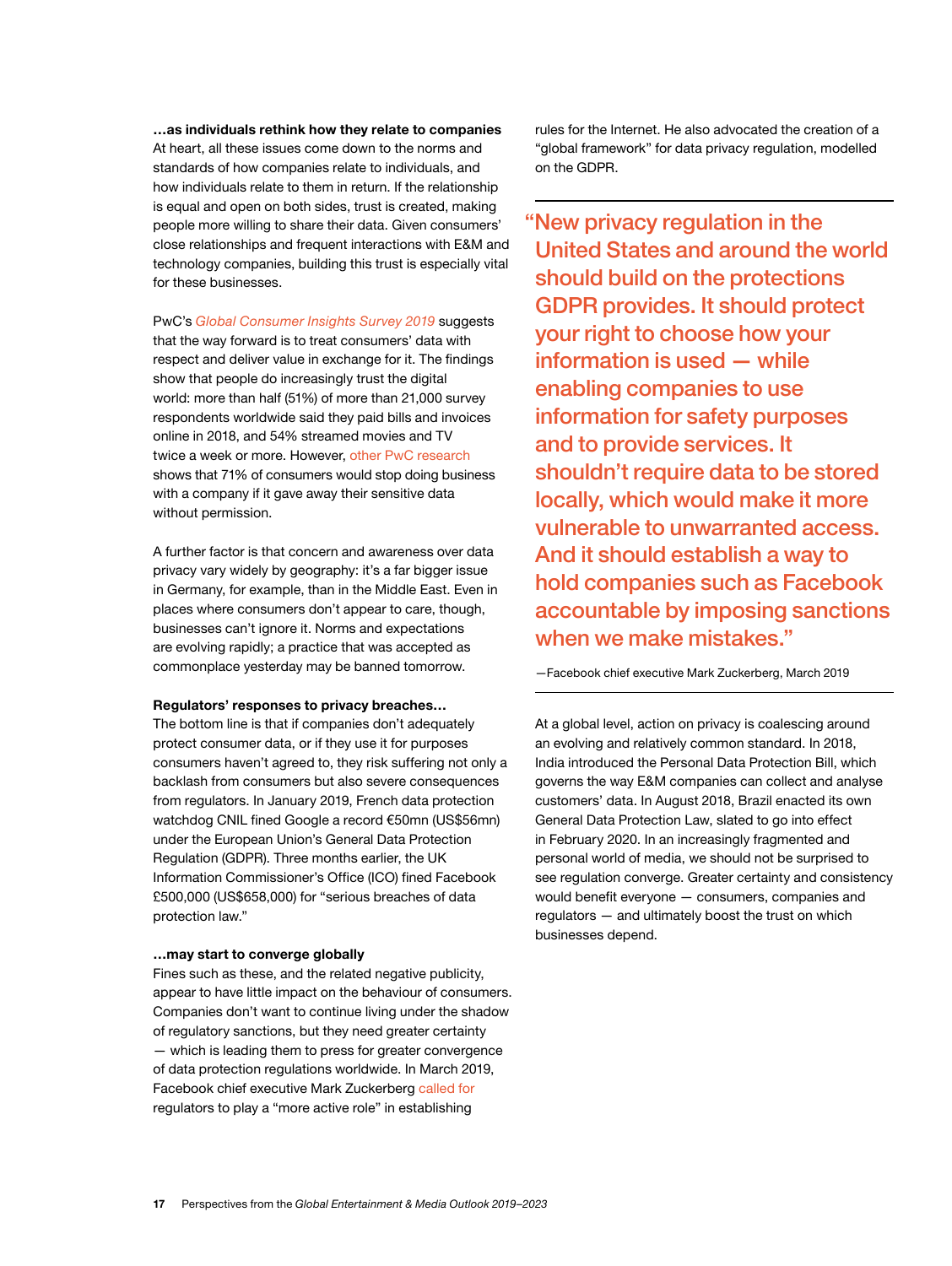**…as individuals rethink how they relate to companies** At heart, all these issues come down to the norms and standards of how companies relate to individuals, and how individuals relate to them in return. If the relationship is equal and open on both sides, trust is created, making people more willing to share their data. Given consumers' close relationships and frequent interactions with E&M and technology companies, building this trust is especially vital for these businesses.

PwC's *[Global Consumer Insights Survey 2019](https://www.pwc.com/gx/en/industries/consumer-markets/consumer-insights-survey/customer-data-respect.html)* suggests that the way forward is to treat consumers' data with respect and deliver value in exchange for it. The findings show that people do increasingly trust the digital world: more than half (51%) of more than 21,000 survey respondents worldwide said they paid bills and invoices online in 2018, and 54% streamed movies and TV twice a week or more. However, [other PwC research](https://www.pwc.com/us/en/advisory-services/publications/consumer-intelligence-series/protect-me/cis-protect-me-findings.pdf) shows that 71% of consumers would stop doing business with a company if it gave away their sensitive data without permission.

A further factor is that concern and awareness over data privacy vary widely by geography: it's a far bigger issue in Germany, for example, than in the Middle East. Even in places where consumers don't appear to care, though, businesses can't ignore it. Norms and expectations are evolving rapidly; a practice that was accepted as commonplace yesterday may be banned tomorrow.

#### **Regulators' responses to privacy breaches…**

The bottom line is that if companies don't adequately protect consumer data, or if they use it for purposes consumers haven't agreed to, they risk suffering not only a backlash from consumers but also severe consequences from regulators. In January 2019, French data protection watchdog CNIL fined Google a record €50mn (US\$56mn) under the European Union's General Data Protection Regulation (GDPR). Three months earlier, the UK Information Commissioner's Office (ICO) fined Facebook £500,000 (US\$658,000) for "serious breaches of data protection law."

#### **…may start to converge globally**

Fines such as these, and the related negative publicity, appear to have little impact on the behaviour of consumers. Companies don't want to continue living under the shadow of regulatory sanctions, but they need greater certainty — which is leading them to press for greater convergence of data protection regulations worldwide. In March 2019, Facebook chief executive Mark Zuckerberg [called for](https://edition.cnn.com/2019/03/30/tech/facebook-mark-zuckerberg-regulation/index.html) regulators to play a "more active role" in establishing

rules for the Internet. He also advocated the creation of a "global framework" for data privacy regulation, modelled on the GDPR.

 "New privacy regulation in the United States and around the world should build on the protections GDPR provides. It should protect your right to choose how your information is used — while enabling companies to use information for safety purposes and to provide services. It shouldn't require data to be stored locally, which would make it more vulnerable to unwarranted access. And it should establish a way to hold companies such as Facebook accountable by imposing sanctions when we make mistakes."

—Facebook chief executive Mark Zuckerberg, March 2019

At a global level, action on privacy is coalescing around an evolving and relatively common standard. In 2018, India introduced the Personal Data Protection Bill, which governs the way E&M companies can collect and analyse customers' data. In August 2018, Brazil enacted its own General Data Protection Law, slated to go into effect in February 2020. In an increasingly fragmented and personal world of media, we should not be surprised to see regulation converge. Greater certainty and consistency would benefit everyone — consumers, companies and regulators — and ultimately boost the trust on which businesses depend.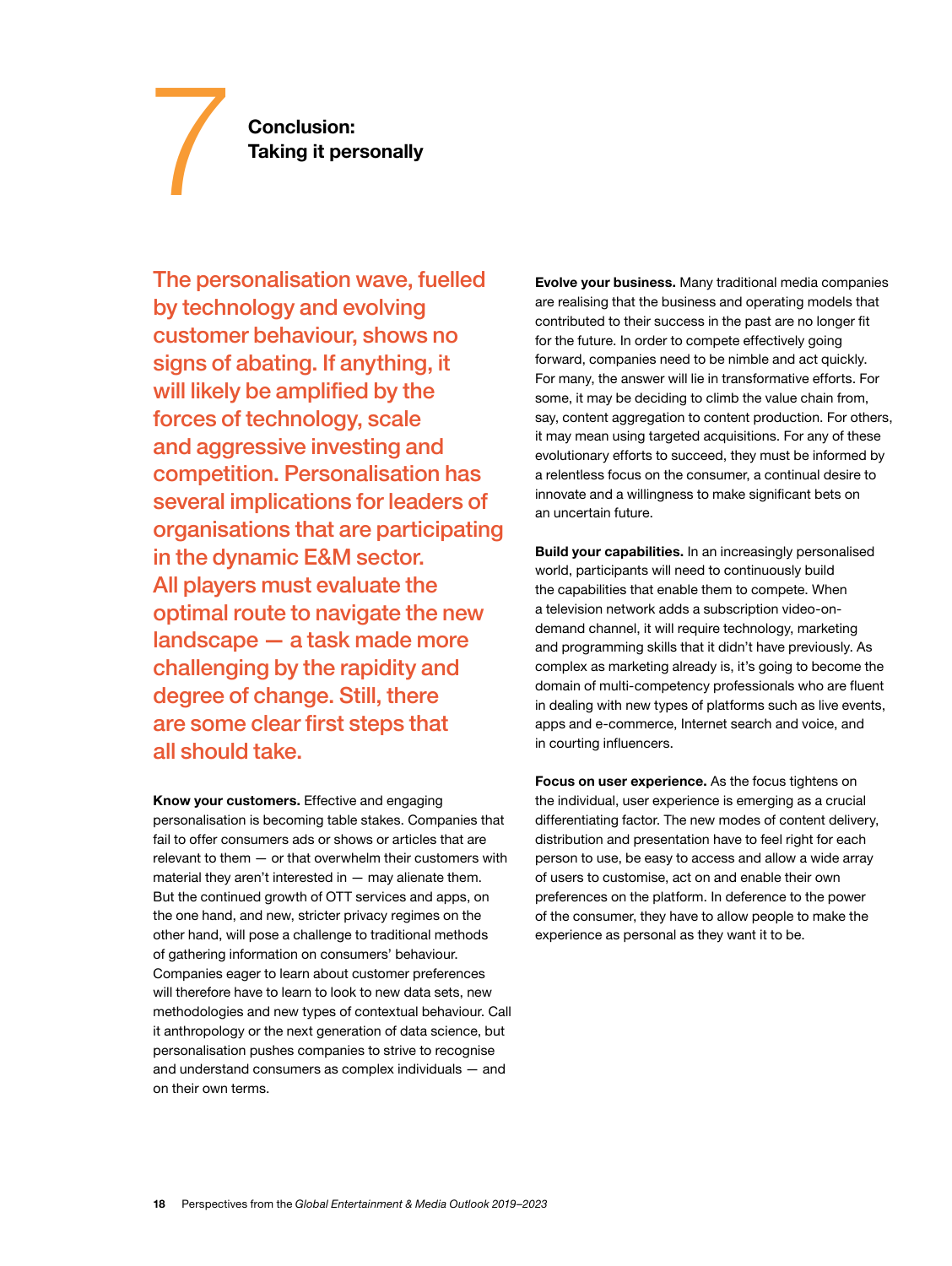**Conclusion:**<br> **7 Taking it personally** 

The personalisation wave, fuelled by technology and evolving customer behaviour, shows no signs of abating. If anything, it will likely be amplified by the forces of technology, scale and aggressive investing and competition. Personalisation has several implications for leaders of organisations that are participating in the dynamic E&M sector. All players must evaluate the optimal route to navigate the new landscape — a task made more challenging by the rapidity and degree of change. Still, there are some clear first steps that all should take.

**Know your customers.** Effective and engaging personalisation is becoming table stakes. Companies that fail to offer consumers ads or shows or articles that are relevant to them — or that overwhelm their customers with material they aren't interested in  $-$  may alienate them. But the continued growth of OTT services and apps, on the one hand, and new, stricter privacy regimes on the other hand, will pose a challenge to traditional methods of gathering information on consumers' behaviour. Companies eager to learn about customer preferences will therefore have to learn to look to new data sets, new methodologies and new types of contextual behaviour. Call it anthropology or the next generation of data science, but personalisation pushes companies to strive to recognise and understand consumers as complex individuals — and on their own terms.

**Evolve your business.** Many traditional media companies are realising that the business and operating models that contributed to their success in the past are no longer fit for the future. In order to compete effectively going forward, companies need to be nimble and act quickly. For many, the answer will lie in transformative efforts. For some, it may be deciding to climb the value chain from, say, content aggregation to content production. For others, it may mean using targeted acquisitions. For any of these evolutionary efforts to succeed, they must be informed by a relentless focus on the consumer, a continual desire to innovate and a willingness to make significant bets on an uncertain future.

**Build your capabilities.** In an increasingly personalised world, participants will need to continuously build the capabilities that enable them to compete. When a television network adds a subscription video-ondemand channel, it will require technology, marketing and programming skills that it didn't have previously. As complex as marketing already is, it's going to become the domain of multi-competency professionals who are fluent in dealing with new types of platforms such as live events, apps and e-commerce, Internet search and voice, and in courting influencers.

**Focus on user experience.** As the focus tightens on the individual, user experience is emerging as a crucial differentiating factor. The new modes of content delivery, distribution and presentation have to feel right for each person to use, be easy to access and allow a wide array of users to customise, act on and enable their own preferences on the platform. In deference to the power of the consumer, they have to allow people to make the experience as personal as they want it to be.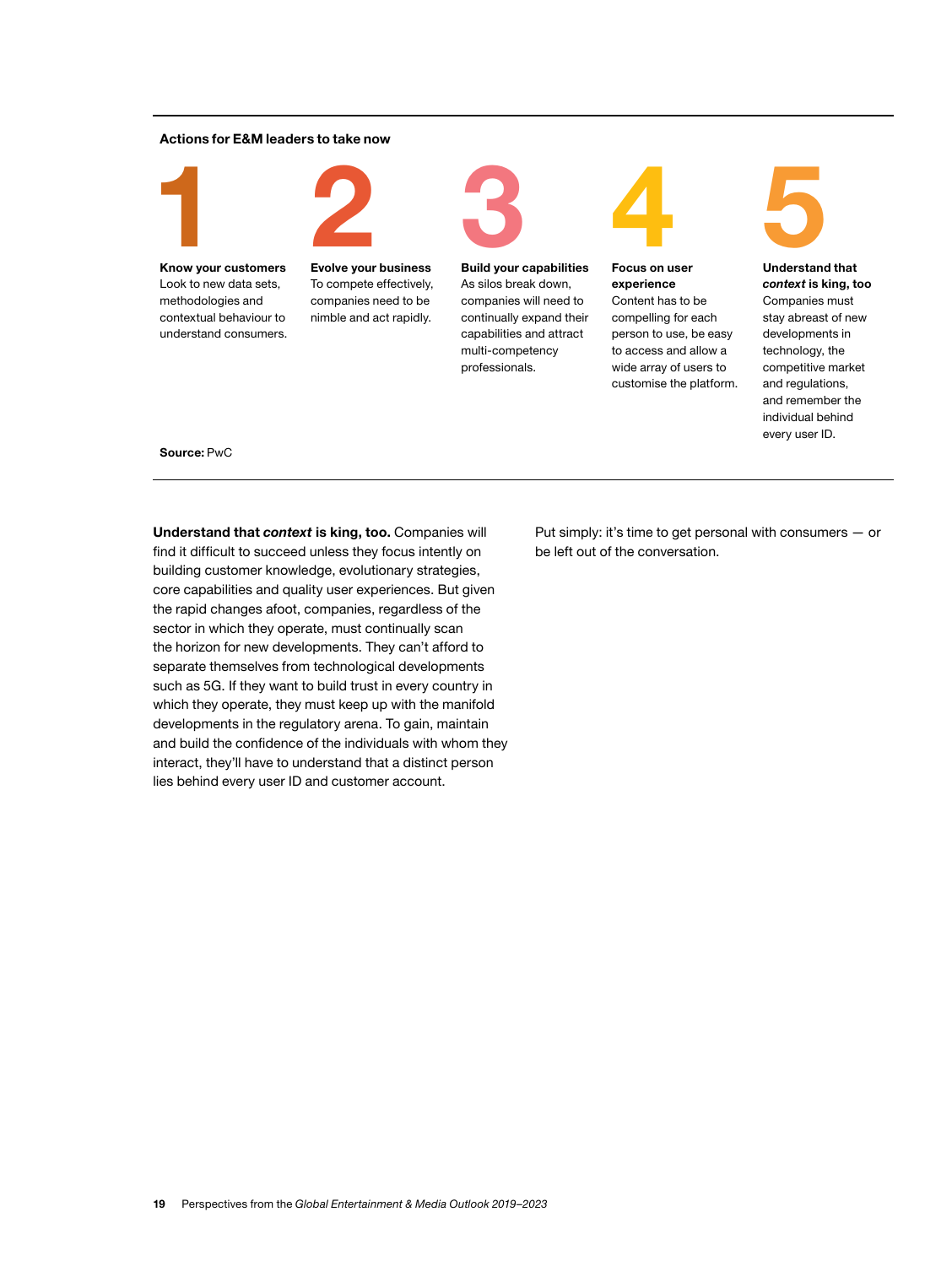#### **Actions for E&M leaders to take now**



**Know your customers** Look to new data sets, methodologies and contextual behaviour to understand consumers. **2 Evolve your business**

To compete effectively, companies need to be nimble and act rapidly.



As silos break down, companies will need to continually expand their capabilities and attract multi-competency professionals.



**experience** Content has to be compelling for each person to use, be easy to access and allow a wide array of users to customise the platform.



*context* **is king, too** Companies must stay abreast of new developments in technology, the competitive market and regulations, and remember the individual behind every user ID.

#### **Source:** PwC

**Understand that** *context* **is king, too.** Companies will find it difficult to succeed unless they focus intently on building customer knowledge, evolutionary strategies, core capabilities and quality user experiences. But given the rapid changes afoot, companies, regardless of the sector in which they operate, must continually scan the horizon for new developments. They can't afford to separate themselves from technological developments such as 5G. If they want to build trust in every country in which they operate, they must keep up with the manifold developments in the regulatory arena. To gain, maintain and build the confidence of the individuals with whom they interact, they'll have to understand that a distinct person lies behind every user ID and customer account.

Put simply: it's time to get personal with consumers — or be left out of the conversation.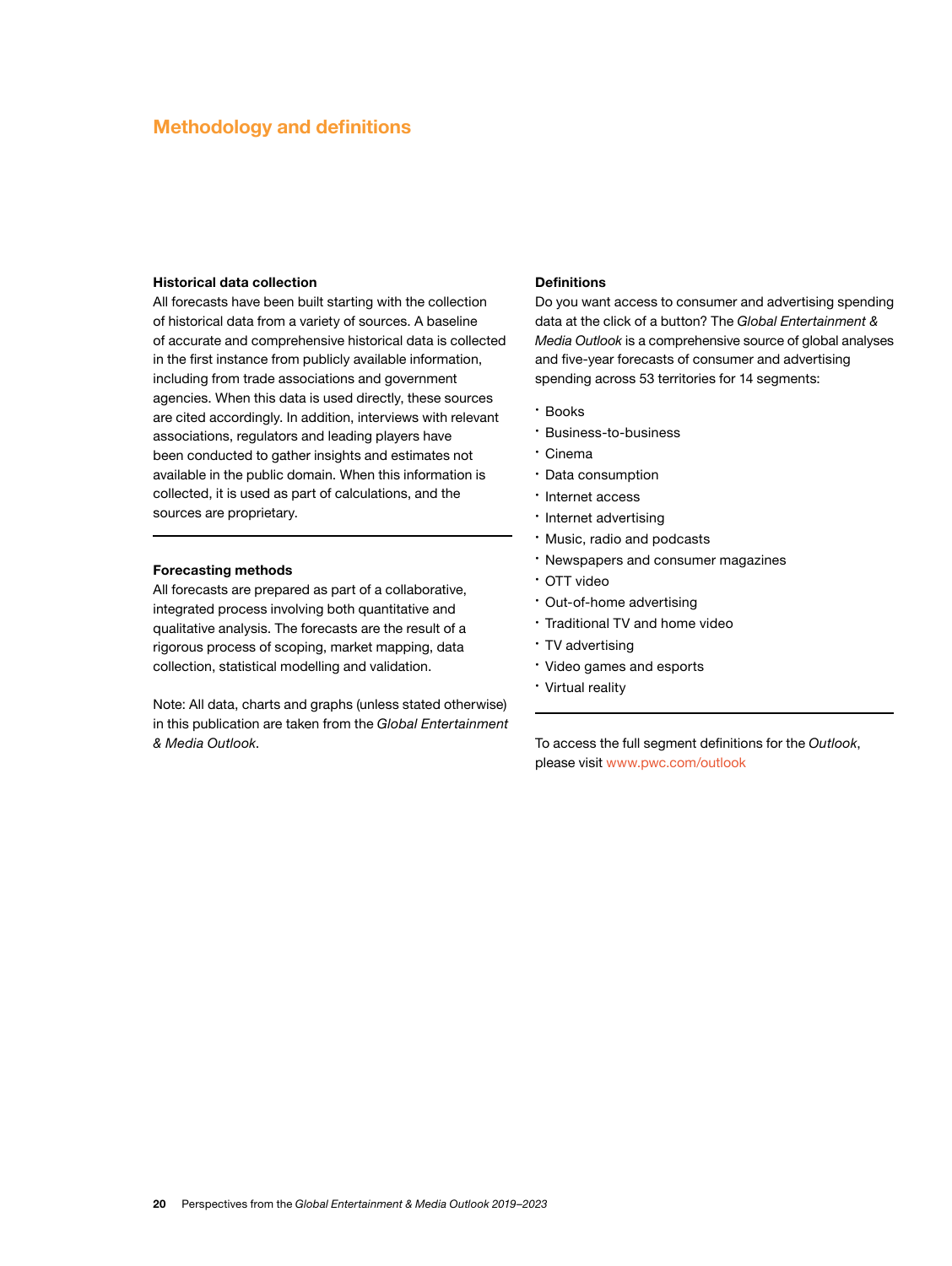#### **Methodology and definitions**

#### **Historical data collection**

All forecasts have been built starting with the collection of historical data from a variety of sources. A baseline of accurate and comprehensive historical data is collected in the first instance from publicly available information, including from trade associations and government agencies. When this data is used directly, these sources are cited accordingly. In addition, interviews with relevant associations, regulators and leading players have been conducted to gather insights and estimates not available in the public domain. When this information is collected, it is used as part of calculations, and the sources are proprietary.

#### **Forecasting methods**

All forecasts are prepared as part of a collaborative, integrated process involving both quantitative and qualitative analysis. The forecasts are the result of a rigorous process of scoping, market mapping, data collection, statistical modelling and validation.

Note: All data, charts and graphs (unless stated otherwise) in this publication are taken from the *Global Entertainment & Media Outlook*.

#### **Definitions**

Do you want access to consumer and advertising spending data at the click of a button? The *Global Entertainment & Media Outlook* is a comprehensive source of global analyses and five-year forecasts of consumer and advertising spending across 53 territories for 14 segments:

- • Books
- • Business-to-business
- • Cinema
- • Data consumption
- • Internet access
- • Internet advertising
- • Music, radio and podcasts
- • Newspapers and consumer magazines
- • OTT video
- • Out-of-home advertising
- • Traditional TV and home video
- $\cdot$  TV advertising
- • Video games and esports
- • Virtual reality

To access the full segment definitions for the *Outlook*, please visit [www.pwc.com/outlook](https://www.pwc.com/outlook)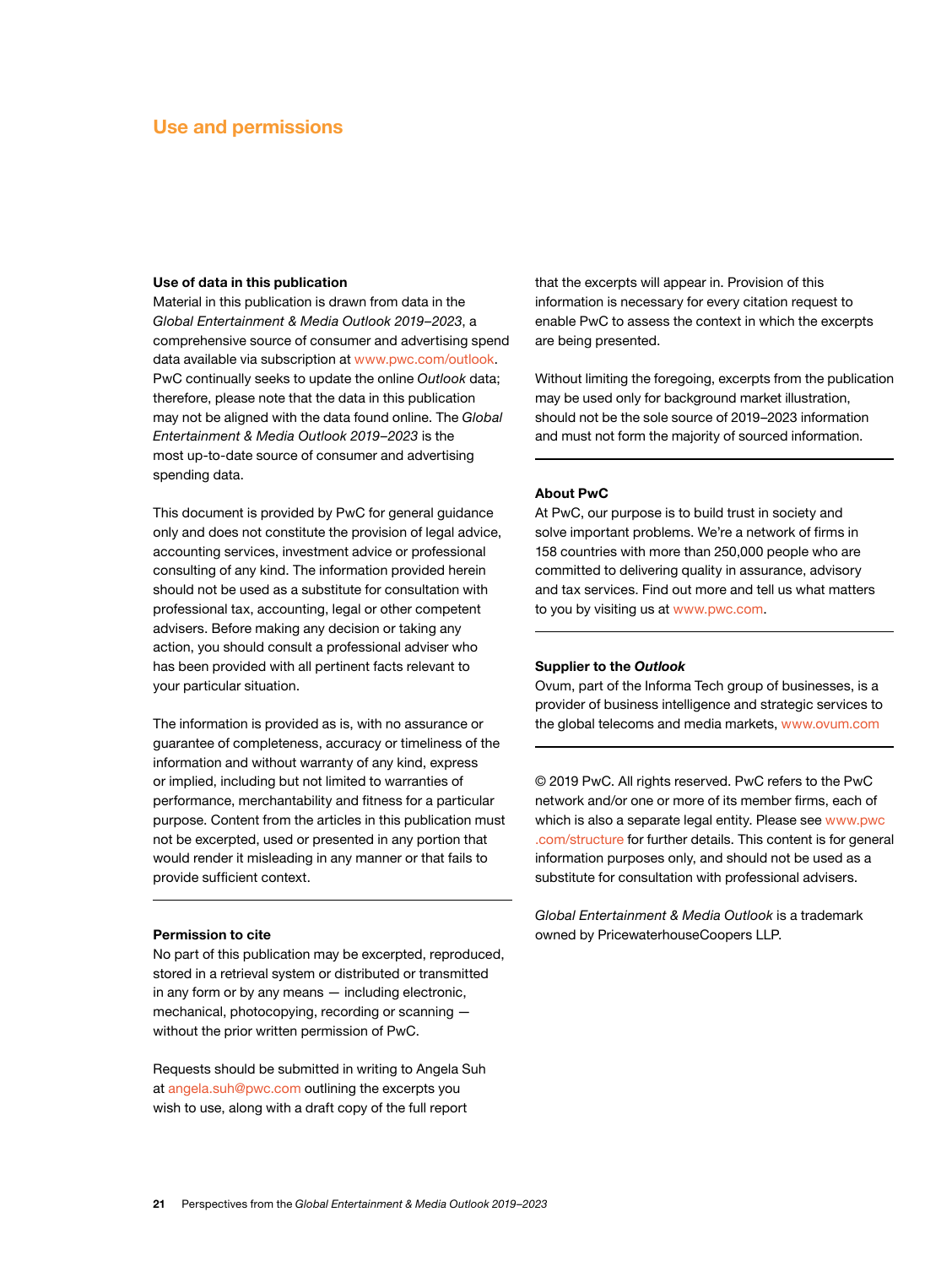#### **Use and permissions**

#### **Use of data in this publication**

Material in this publication is drawn from data in the *Global Entertainment & Media Outlook 2019–2023*, a comprehensive source of consumer and advertising spend data available via subscription at [www.pwc.com/outlook](https://www.pwc.com/outlook). PwC continually seeks to update the online *Outlook* data; therefore, please note that the data in this publication may not be aligned with the data found online. The *Global Entertainment & Media Outlook 2019–2023* is the most up-to-date source of consumer and advertising spending data.

This document is provided by PwC for general guidance only and does not constitute the provision of legal advice, accounting services, investment advice or professional consulting of any kind. The information provided herein should not be used as a substitute for consultation with professional tax, accounting, legal or other competent advisers. Before making any decision or taking any action, you should consult a professional adviser who has been provided with all pertinent facts relevant to your particular situation.

The information is provided as is, with no assurance or guarantee of completeness, accuracy or timeliness of the information and without warranty of any kind, express or implied, including but not limited to warranties of performance, merchantability and fitness for a particular purpose. Content from the articles in this publication must not be excerpted, used or presented in any portion that would render it misleading in any manner or that fails to provide sufficient context.

#### **Permission to cite**

No part of this publication may be excerpted, reproduced, stored in a retrieval system or distributed or transmitted in any form or by any means — including electronic, mechanical, photocopying, recording or scanning without the prior written permission of PwC.

Requests should be submitted in writing to Angela Suh at [angela.suh@pwc.com](mailto:angela.suh%40pwc.com?subject=) outlining the excerpts you wish to use, along with a draft copy of the full report

that the excerpts will appear in. Provision of this information is necessary for every citation request to enable PwC to assess the context in which the excerpts are being presented.

Without limiting the foregoing, excerpts from the publication may be used only for background market illustration, should not be the sole source of 2019–2023 information and must not form the majority of sourced information.

#### **About PwC**

At PwC, our purpose is to build trust in society and solve important problems. We're a network of firms in 158 countries with more than 250,000 people who are committed to delivering quality in assurance, advisory and tax services. Find out more and tell us what matters to you by visiting us at [www.pwc.com](https://www.pwc.com/).

#### **Supplier to the** *Outlook*

Ovum, part of the Informa Tech group of businesses, is a provider of business intelligence and strategic services to the global telecoms and media markets, [www.ovum.com](https://ovum.informa.com/)

© 2019 PwC. All rights reserved. PwC refers to the PwC network and/or one or more of its member firms, each of which is also a separate legal entity. Please see [www.pwc](https://www.pwc.com/gx/en/about/corporate-governance/network-structure.html) [.com/structure](https://www.pwc.com/gx/en/about/corporate-governance/network-structure.html) for further details. This content is for general information purposes only, and should not be used as a substitute for consultation with professional advisers.

*Global Entertainment & Media Outlook* is a trademark owned by PricewaterhouseCoopers LLP.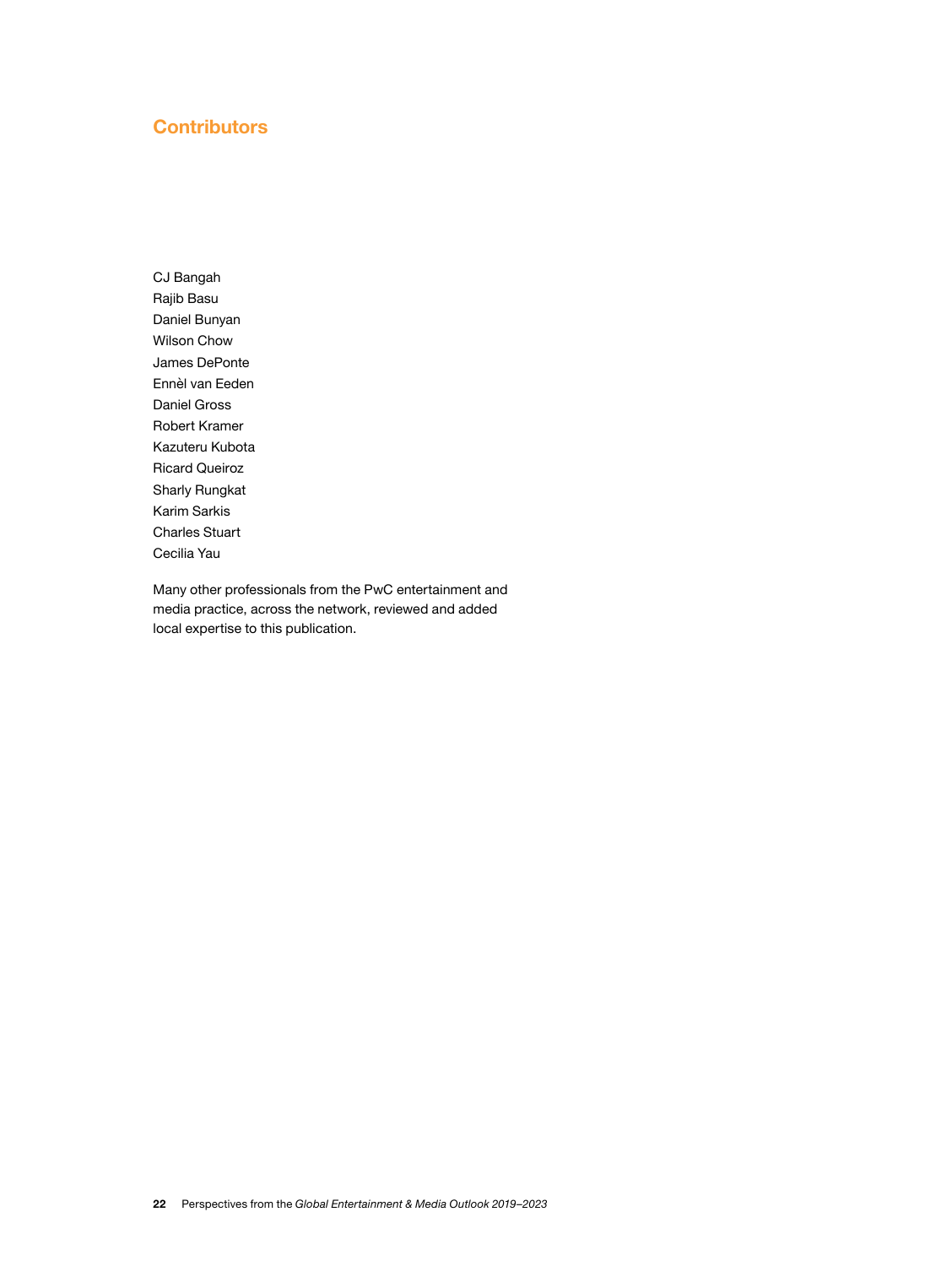#### **Contributors**

CJ Bangah Rajib Basu Daniel Bunyan Wilson Chow James DePonte Ennèl van Eeden Daniel Gross Robert Kramer Kazuteru Kubota Ricard Queiroz Sharly Rungkat Karim Sarkis Charles Stuart Cecilia Yau

Many other professionals from the PwC entertainment and media practice, across the network, reviewed and added local expertise to this publication.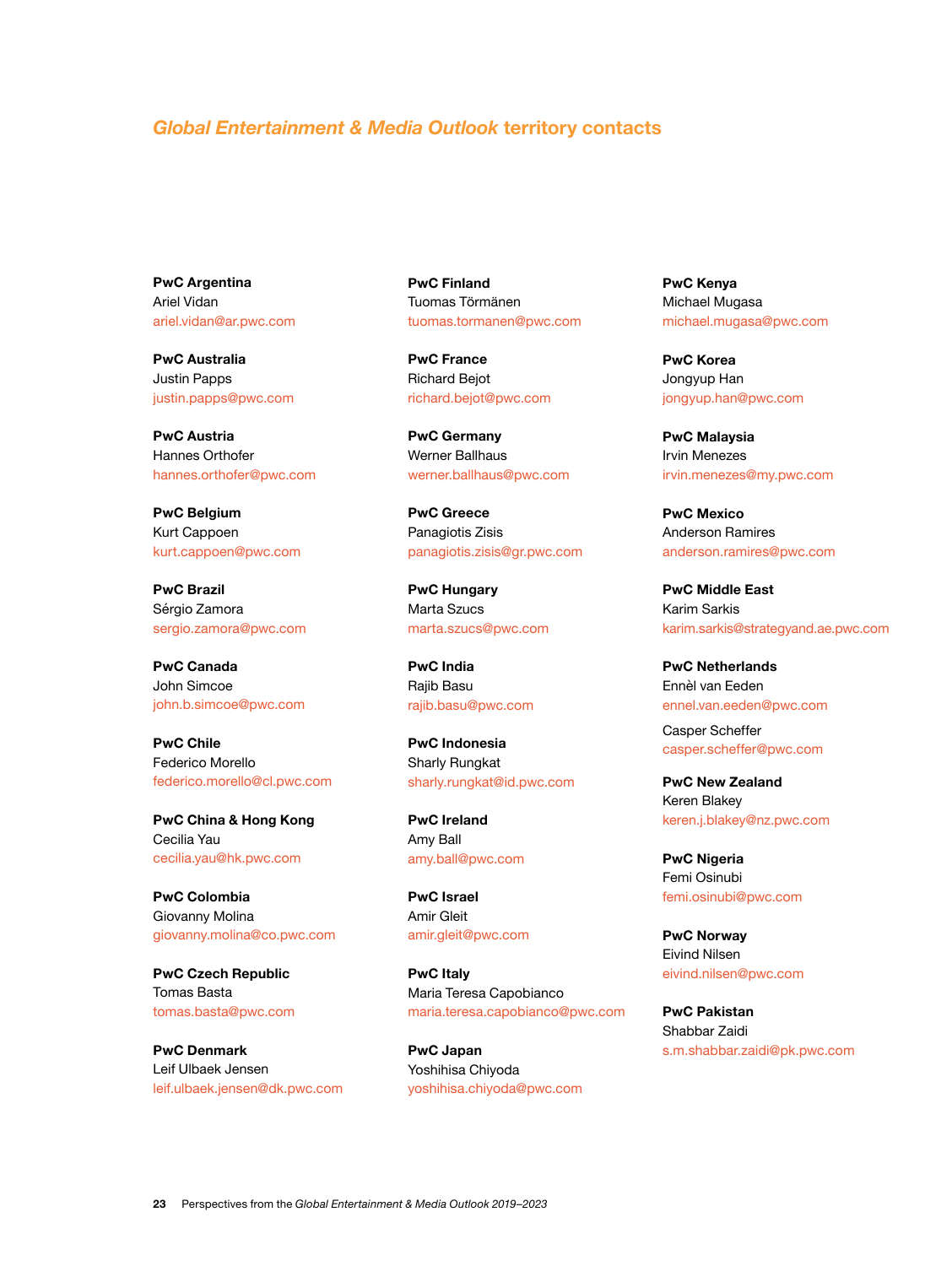#### *Global Entertainment & Media Outlook* **territory contacts**

**PwC Argentina** Ariel Vidan [ariel.vidan@ar.pwc.com](mailto:ariel.vidan%40ar.pwc.com?subject=)

**PwC Australia** Justin Papps [justin.papps@pwc.com](mailto:justin.papps%40pwc.com?subject=)

**PwC Austria** Hannes Orthofer [hannes.orthofer@pwc.com](mailto:hannes.orthofer%40pwc.com?subject=)

**PwC Belgium** Kurt Cappoen [kurt.cappoen@pwc.com](mailto:kurt.cappoen%40pwc.com?subject=)

**PwC Brazil** Sérgio Zamora [sergio.zamora@pwc.com](mailto:sergio.zamora%40pwc.com?subject=)

**PwC Canada** John Simcoe [john.b.simcoe@pwc.com](mailto:john.b.simcoe%40pwc.com?subject=)

**PwC Chile** Federico Morello [federico.morello@cl.pwc.com](mailto:federico.morello%40cl.pwc.com?subject=)

**PwC China & Hong Kong** Cecilia Yau [cecilia.yau@hk.pwc.com](mailto:cecilia.yau%40hk.pwc.com?subject=)

**PwC Colombia** Giovanny Molina [giovanny.molina@co.pwc.com](mailto:giovanny.molina%40co.pwc.com?subject=)

**PwC Czech Republic** Tomas Basta [tomas.basta@pwc.com](mailto:tomas.basta%40pwc.com?subject=)

**PwC Denmark** Leif Ulbaek Jensen [leif.ulbaek.jensen@dk.pwc.com](mailto:leif.ulbaek.jensen%40dk.pwc.com?subject=) **PwC Finland** Tuomas Törmänen [tuomas.tormanen@pwc.com](mailto:tuomas.tormanen%40pwc.com?subject=)

**PwC France** Richard Bejot [richard.bejot@pwc.com](mailto:richard.bejot%40pwc.com?subject=)

**PwC Germany** Werner Ballhaus [werner.ballhaus@pwc.com](mailto:werner.ballhaus%40pwc.com?subject=)

**PwC Greece** Panagiotis Zisis [panagiotis.zisis@gr.pwc.com](mailto:panagiotis.zisis%40gr.pwc.com?subject=)

**PwC Hungary** Marta Szucs [marta.szucs@pwc.com](mailto:marta.szucs%40pwc.com?subject=)

**PwC India** Rajib Basu [rajib.basu@pwc.com](mailto:rajib.basu%40pwc.com?subject=)

**PwC Indonesia** Sharly Rungkat [sharly.rungkat@id.pwc.com](mailto:sharly.rungkat%40id.pwc.com?subject=)

**PwC Ireland** Amy Ball [amy.ball@pwc.com](mailto:amy.ball%40pwc.com?subject=)

**PwC Israel** Amir Gleit [amir.gleit@pwc.com](mailto:amir.gleit%40pwc.com?subject=)

**PwC Italy** Maria Teresa Capobianco [maria.teresa.capobianco@pwc.com](mailto:maria.teresa.capobianco%40pwc.com?subject=)

**PwC Japan** Yoshihisa Chiyoda [yoshihisa.chiyoda@pwc.com](mailto:yoshihisa.chiyoda%40pwc.com?subject=)

**PwC Kenya** Michael Mugasa [michael.mugasa@pwc.com](mailto:michael.mugasa%40pwc.com?subject=)

**PwC Korea** Jongyup Han [jongyup.han@pwc.com](mailto:jongyup.han%40pwc.com?subject=)

**PwC Malaysia** Irvin Menezes [irvin.menezes@my.pwc.com](mailto:irvin.menezes%40my.pwc.com?subject=)

**PwC Mexico** Anderson Ramires [anderson.ramires@pwc.com](mailto:anderson.ramires%40pwc.com?subject=)

**PwC Middle East** Karim Sarkis [karim.sarkis@strategyand.ae.pwc.com](mailto:karim.sarkis%40strategyand.ae.pwc.com?subject=)

**PwC Netherlands** Ennèl van Eeden [ennel.van.eeden@pwc.com](mailto:ennel.van.eeden%40pwc.com?subject=)

Casper Scheffer [casper.scheffer@pwc.com](mailto:casper.scheffer%40pwc.com?subject=)

**PwC New Zealand** Keren Blakey [keren.j.blakey@nz.pwc.com](mailto:keren.j.blakey%40nz.pwc.com?subject=)

**PwC Nigeria** Femi Osinubi [femi.osinubi@pwc.com](mailto:femi.osinubi%40pwc.com?subject=)

**PwC Norway** Eivind Nilsen [eivind.nilsen@pwc.com](mailto:eivind.nilsen%40pwc.com?subject=)

**PwC Pakistan** Shabbar Zaidi [s.m.shabbar.zaidi@pk.pwc.com](mailto:s.m.shabbar.zaidi%40pk.pwc.com?subject=)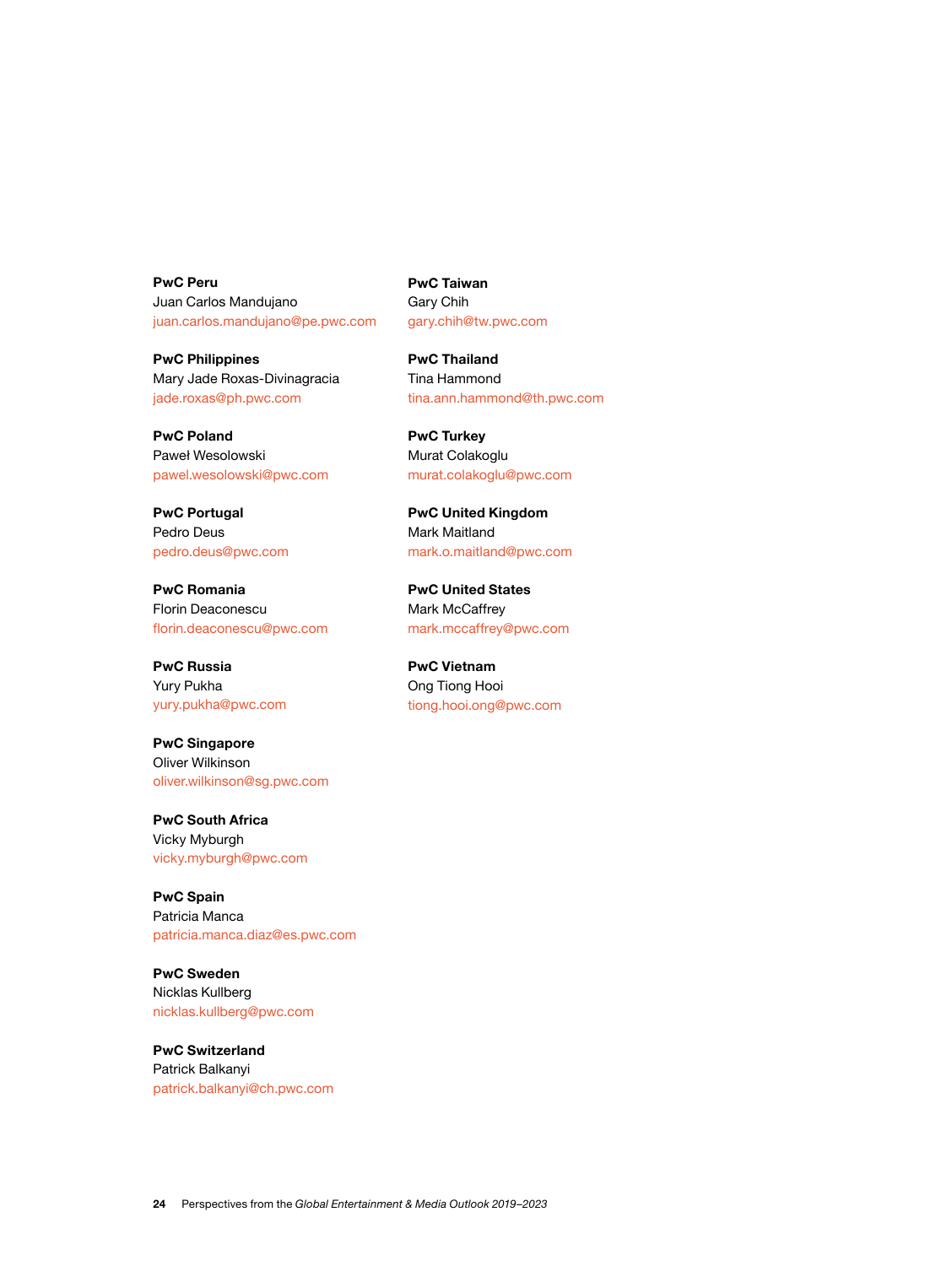**PwC Peru** Juan Carlos Mandujano [juan.carlos.mandujano@pe.pwc.com](mailto:juan.carlos.mandujano%40pe.pwc.com?subject=)

**PwC Philippines** Mary Jade Roxas-Divinagracia [jade.roxas@ph.pwc.com](mailto:jade.roxas%40ph.pwc.com?subject=)

**PwC Poland** Paweł Wesolowski [pawel.wesolowski@pwc.com](mailto:pawel.wesolowski%40pwc.com?subject=)

**PwC Portugal** Pedro Deus [pedro.deus@pwc.com](mailto:pedro.deus%40pwc.com?subject=)

**PwC Romania** Florin Deaconescu [florin.deaconescu@pwc.com](mailto:florin.deaconescu%40pwc.com?subject=)

**PwC Russia** Yury Pukha [yury.pukha@pwc.com](mailto:yury.pukha%40pwc.com?subject=)

**PwC Singapore** Oliver Wilkinson [oliver.wilkinson@sg.pwc.com](mailto:oliver.wilkinson%40sg.pwc.com?subject=)

**PwC South Africa** Vicky Myburgh [vicky.myburgh@pwc.com](mailto:vicky.myburgh%40pwc.com?subject=)

**PwC Spain** Patricia Manca [patricia.manca.diaz@es.pwc.com](mailto:patricia.manca.diaz%40es.pwc.com?subject=)

**PwC Sweden** Nicklas Kullberg [nicklas.kullberg@pwc.com](mailto:nicklas.kullberg%40pwc.com?subject=)

**PwC Switzerland** Patrick Balkanyi [patrick.balkanyi@ch.pwc.com](mailto:patrick.balkanyi%40ch.pwc.com?subject=) **PwC Taiwan** Gary Chih [gary.chih@tw.pwc.com](mailto:gary.chih%40tw.pwc.com?subject=)

**PwC Thailand** Tina Hammond [tina.ann.hammond@th.pwc.com](mailto:tina.ann.hammond%40th.pwc.com?subject=)

**PwC Turkey** Murat Colakoglu [murat.colakoglu@pwc.com](mailto:murat.colakoglu%40pwc.com?subject=)

**PwC United Kingdom** Mark Maitland [mark.o.maitland@pwc.com](mailto:mark.o.maitland%40pwc.com?subject=)

**PwC United States** Mark McCaffrey [mark.mccaffrey@pwc.com](mailto:mark.mccaffrey%40pwc.com?subject=)

**PwC Vietnam** Ong Tiong Hooi [tiong.hooi.ong@pwc.com](mailto:tiong.hooi.ong%40pwc.com?subject=)